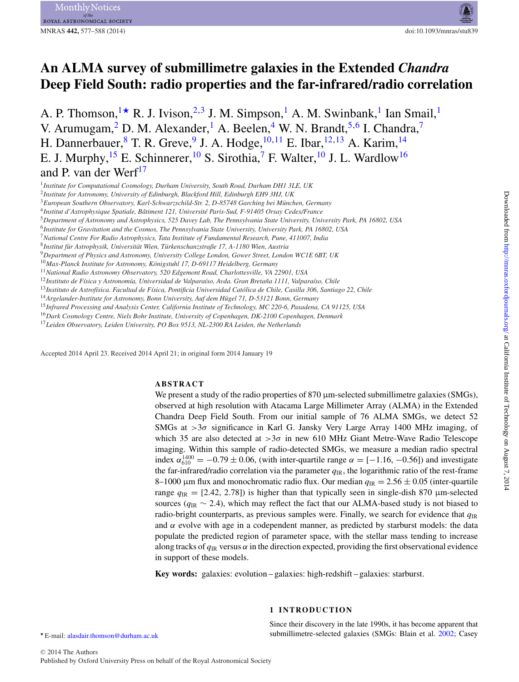# **An ALMA survey of submillimetre galaxies in the Extended** *Chandra* **Deep Field South: radio properties and the far-infrared/radio correlation**

A. P. Thomson,  $1\star$  $1\star$  R. J. Ivison,  $2,3$  $2,3$  J. M. Simpson, <sup>1</sup> A. M. Swinbank, <sup>1</sup> Ian Smail, <sup>1</sup> V. Arumugam,<sup>2</sup> D. M. Alexander,<sup>1</sup> A. Beelen,<sup>4</sup> W. N. Brandt,<sup>[5,](#page-0-5)[6](#page-0-6)</sup> I. Chandra,<sup>7</sup> H. Dannerbauer, <sup>8</sup> T. R. Greve, <sup>[9](#page-0-9)</sup> J. A. Hodge,  $10,11$  $10,11$  E. Ibar,  $12,13$  $12,13$  A. Karim,  $14$ E. J. Murphy, <sup>15</sup> E. Schinnerer, <sup>[10](#page-0-10)</sup> S. Sirothia,<sup>[7](#page-0-7)</sup> F. Walter, <sup>10</sup> J. L. Wardlow<sup>16</sup> and P. van der Werf $^{17}$ 

- <span id="page-0-13"></span><sup>13</sup>*Instituto de Astrof´ısica. Facultad de F´ısica, Pontificia Universidad Catolica de Chile, Casilla 306, Santiago 22, Chile ´*
- <span id="page-0-14"></span><sup>14</sup> Argelander-Institute for Astronomy, Bonn University, Auf dem Hügel 71, D-53121 Bonn, Germany
- <span id="page-0-15"></span><sup>15</sup>*Infrared Processing and Analysis Center, California Institute of Technology, MC 220-6, Pasadena, CA 91125, USA*
- <span id="page-0-16"></span><sup>16</sup>*Dark Cosmology Centre, Niels Bohr Institute, University of Copenhagen, DK-2100 Copenhagen, Denmark*

<span id="page-0-17"></span><sup>17</sup>*Leiden Observatory, Leiden University, PO Box 9513, NL-2300 RA Leiden, the Netherlands*

Accepted 2014 April 23. Received 2014 April 21; in original form 2014 January 19

# **ABSTRACT**

We present a study of the radio properties of  $870 \mu m$ -selected submillimetre galaxies (SMGs), observed at high resolution with Atacama Large Millimeter Array (ALMA) in the Extended Chandra Deep Field South. From our initial sample of 76 ALMA SMGs, we detect 52 SMGs at  $>3\sigma$  significance in Karl G. Jansky Very Large Array 1400 MHz imaging, of which 35 are also detected at  $>3\sigma$  in new 610 MHz Giant Metre-Wave Radio Telescope imaging. Within this sample of radio-detected SMGs, we measure a median radio spectral index  $\alpha_{610}^{1400} = -0.79 \pm 0.06$ , (with inter-quartile range  $\alpha = [-1.16, -0.56]$ ) and investigate the far-infrared/radio correlation via the parameter  $q_{IR}$ , the logarithmic ratio of the rest-frame 8–1000 µm flux and monochromatic radio flux. Our median  $q_{IR} = 2.56 \pm 0.05$  (inter-quartile range  $q_{\text{IR}} = [2.42, 2.78]$ ) is higher than that typically seen in single-dish 870  $\mu$ m-selected sources (*q*IR ∼ 2.4), which may reflect the fact that our ALMA-based study is not biased to radio-bright counterparts, as previous samples were. Finally, we search for evidence that  $q_{\text{IR}}$ and  $\alpha$  evolve with age in a codependent manner, as predicted by starburst models: the data populate the predicted region of parameter space, with the stellar mass tending to increase along tracks of  $q_{\text{IR}}$  versus  $\alpha$  in the direction expected, providing the first observational evidence in support of these models.

<span id="page-0-1"></span>**Key words:** galaxies: evolution – galaxies: high-redshift – galaxies: starburst.

# **1 INTRODUCTION**

Since their discovery in the late 1990s, it has become apparent that submillimetre-selected galaxies (SMGs: Blain et al. [2002;](#page-10-0) Casey

<span id="page-0-0"></span><sup>1</sup>*Institute for Computational Cosmology, Durham University, South Road, Durham DH1 3LE, UK*

<span id="page-0-2"></span><sup>2</sup>*Institute for Astronomy, University of Edinburgh, Blackford Hill, Edinburgh EH9 3HJ, UK*

<span id="page-0-3"></span><sup>3</sup>*European Southern Observatory, Karl-Schwarzschild-Str. 2, D-85748 Garching bei Munchen, Germany ¨*

<span id="page-0-4"></span><sup>4</sup>*Institut d'Astrophysique Spatiale, Batiment 121, Universit ˆ e Paris-Sud, F-91405 Orsay Cedex/France ´*

<span id="page-0-5"></span><sup>5</sup>*Department of Astronomy and Astrophysics, 525 Davey Lab, The Pennsylvania State University, University Park, PA 16802, USA*

<span id="page-0-6"></span><sup>6</sup>*Institute for Gravitation and the Cosmos, The Pennsylvania State University, University Park, PA 16802, USA*

<span id="page-0-7"></span><sup>7</sup>*National Centre For Radio Astrophysics, Tata Institute of Fundamental Research, Pune, 411007, India* <sup>8</sup>*Institut fur Astrophysik, Universit ¨ at Wien, T ¨ urkenschanzstraße 17, A-1180 Wien, Austria ¨*

<span id="page-0-9"></span><span id="page-0-8"></span><sup>9</sup>*Department of Physics and Astronomy, University College London, Gower Street, London WC1E 6BT, UK*

<span id="page-0-10"></span><sup>&</sup>lt;sup>10</sup>Max-Planck Institute for Astronomy, Königstuhl 17, D-69117 Heidelberg, Germany

<span id="page-0-11"></span><sup>11</sup>*National Radio Astronomy Observatory, 520 Edgemont Road, Charlottesville, VA 22901, USA*

<span id="page-0-12"></span><sup>&</sup>lt;sup>12</sup> Instituto de Física y Astronomía, Universidad de Valparaíso, Avda. Gran Bretaña 1111, Valparaíso, Chile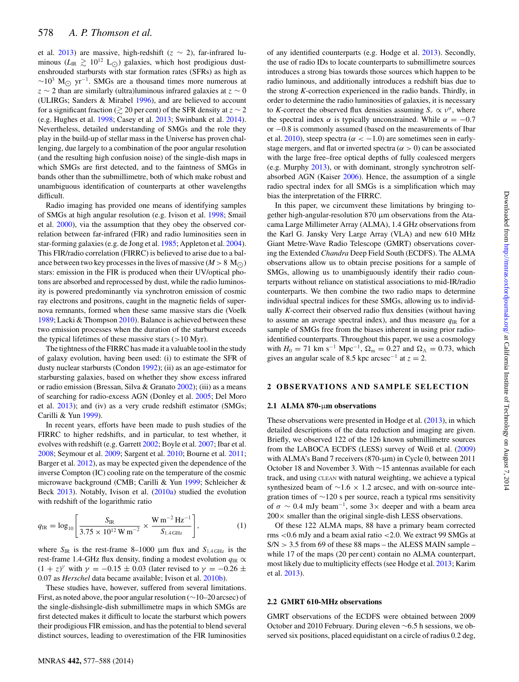et al. [2013\)](#page-10-1) are massive, high-redshift ( $z \sim 2$ ), far-infrared luminous  $(L_{\rm IR} \gtrsim 10^{12} \rm \ L_{\odot})$  galaxies, which host prodigious dustenshrouded starbursts with star formation rates (SFRs) as high as  $~\sim$ 10<sup>3</sup> M<sub> $\odot$ </sub> yr<sup>-1</sup>. SMGs are a thousand times more numerous at  $z \sim 2$  than are similarly (ultra)luminous infrared galaxies at  $z \sim 0$ (ULIRGs; Sanders & Mirabel [1996\)](#page-10-2), and are believed to account for a significant fraction ( $\gtrsim$  20 per cent) of the SFR density at  $z \sim 2$ (e.g. Hughes et al. [1998;](#page-10-3) Casey et al. [2013;](#page-10-1) Swinbank et al. [2014\)](#page-10-4). Nevertheless, detailed understanding of SMGs and the role they play in the build-up of stellar mass in the Universe has proven challenging, due largely to a combination of the poor angular resolution (and the resulting high confusion noise) of the single-dish maps in which SMGs are first detected, and to the faintness of SMGs in bands other than the submillimetre, both of which make robust and unambiguous identification of counterparts at other wavelengths difficult.

Radio imaging has provided one means of identifying samples of SMGs at high angular resolution (e.g. Ivison et al. [1998;](#page-10-5) Smail et al. [2000\)](#page-10-6), via the assumption that they obey the observed correlation between far-infrared (FIR) and radio luminosities seen in star-forming galaxies (e.g. de Jong et al. [1985;](#page-10-7) Appleton et al. [2004\)](#page-10-8). This FIR/radio correlation (FIRRC) is believed to arise due to a balance between two key processes in the lives of massive  $(M > 8 M<sub>O</sub>)$ stars: emission in the FIR is produced when their UV/optical photons are absorbed and reprocessed by dust, while the radio luminosity is powered predominantly via synchrotron emission of cosmic ray electrons and positrons, caught in the magnetic fields of supernova remnants, formed when these same massive stars die (Voelk [1989;](#page-11-0) Lacki & Thompson [2010\)](#page-10-9). Balance is achieved between these two emission processes when the duration of the starburst exceeds the typical lifetimes of these massive stars  $(>10$  Myr).

The tightness of the FIRRC has made it a valuable tool in the study of galaxy evolution, having been used: (i) to estimate the SFR of dusty nuclear starbursts (Condon [1992\)](#page-10-10); (ii) as an age-estimator for starbursting galaxies, based on whether they show excess infrared or radio emission (Bressan, Silva & Granato [2002\)](#page-10-11); (iii) as a means of searching for radio-excess AGN (Donley et al. [2005;](#page-10-12) Del Moro et al. [2013\)](#page-10-13); and (iv) as a very crude redshift estimator (SMGs; Carilli & Yun [1999\)](#page-10-14).

In recent years, efforts have been made to push studies of the FIRRC to higher redshifts, and in particular, to test whether, it evolves with redshift (e.g. Garrett [2002;](#page-10-15) Boyle et al. [2007;](#page-10-16) Ibar et al. [2008;](#page-10-17) Seymour et al. [2009;](#page-10-18) Sargent et al. [2010;](#page-10-19) Bourne et al. [2011;](#page-10-20) Barger et al. [2012\)](#page-10-21), as may be expected given the dependence of the inverse Compton (IC) cooling rate on the temperature of the cosmic microwave background (CMB; Carilli & Yun [1999;](#page-10-14) Schleicher & Beck [2013\)](#page-10-22). Notably, Ivison et al. [\(2010a\)](#page-10-23) studied the evolution with redshift of the logarithmic ratio

$$
q_{\rm IR} = \log_{10} \left[ \frac{S_{\rm IR}}{3.75 \times 10^{12} \,\rm W \, m^{-2}} \times \frac{\rm W \, m^{-2} \, Hz^{-1}}{S_{1.4 \,\rm GHz}} \right],\tag{1}
$$

where  $S_{IR}$  is the rest-frame 8–1000 µm flux and  $S_{1.4\text{ GHz}}$  is the rest-frame 1.4-GHz flux density, finding a modest evolution  $q_{\text{IR}} \propto$  $(1 + z)^{\gamma}$  with  $\gamma = -0.15 \pm 0.03$  (later revised to  $\gamma = -0.26 \pm 0.03$ 0.07 as *Herschel* data became available; Ivison et al. [2010b\)](#page-10-24).

These studies have, however, suffered from several limitations. First, as noted above, the poor angular resolution (∼10–20 arcsec) of the single-dishsingle-dish submillimetre maps in which SMGs are first detected makes it difficult to locate the starburst which powers their prodigious FIR emission, and has the potential to blend several distinct sources, leading to overestimation of the FIR luminosities

of any identified counterparts (e.g. Hodge et al. [2013\)](#page-10-25). Secondly, the use of radio IDs to locate counterparts to submillimetre sources introduces a strong bias towards those sources which happen to be radio luminous, and additionally introduces a redshift bias due to the strong *K*-correction experienced in the radio bands. Thirdly, in order to determine the radio luminosities of galaxies, it is necessary to *K*-correct the observed flux densities assuming  $S_v \propto v^{\alpha}$ , where the spectral index  $\alpha$  is typically unconstrained. While  $\alpha = -0.7$ or −0.8 is commonly assumed (based on the measurements of Ibar et al. [2010\)](#page-10-26), steep spectra ( $\alpha < -1.0$ ) are sometimes seen in earlystage mergers, and flat or inverted spectra ( $\alpha > 0$ ) can be associated with the large free–free optical depths of fully coalesced mergers (e.g. Murphy [2013\)](#page-10-27), or with dominant, strongly synchrotron selfabsorbed AGN (Kaiser [2006\)](#page-10-28). Hence, the assumption of a single radio spectral index for all SMGs is a simplification which may bias the interpretation of the FIRRC.

In this paper, we circumvent these limitations by bringing together high-angular-resolution 870 µm observations from the Atacama Large Millimeter Array (ALMA), 1.4 GHz observations from the Karl G. Jansky Very Large Array (VLA) and new 610 MHz Giant Metre-Wave Radio Telescope (GMRT) observations covering the Extended *Chandra* Deep Field South (ECDFS). The ALMA observations allow us to obtain precise positions for a sample of SMGs, allowing us to unambiguously identify their radio counterparts without reliance on statistical associations to mid-IR/radio counterparts. We then combine the two radio maps to determine individual spectral indices for these SMGs, allowing us to individually *K*-correct their observed radio flux densities (without having to assume an average spectral index), and thus measure  $q_{IR}$  for a sample of SMGs free from the biases inherent in using prior radioidentified counterparts. Throughout this paper, we use a cosmology with  $H_0 = 71$  km s<sup>-1</sup> Mpc<sup>-1</sup>,  $\Omega_m = 0.27$  and  $\Omega_{\Lambda} = 0.73$ , which gives an angular scale of 8.5 kpc arcsec<sup>-1</sup> at  $z = 2$ .

# **2 OBSERVATIONS AND SAMPLE SELECTION**

#### **2.1 ALMA 870-**µ**m observations**

These observations were presented in Hodge et al. [\(2013\)](#page-10-25), in which detailed descriptions of the data reduction and imaging are given. Briefly, we observed 122 of the 126 known submillimetre sources from the LABOCA ECDFS (LESS) survey of Weiß et al. [\(2009\)](#page-11-1) with ALMA's Band 7 receivers (870-μm) in Cycle 0, between 2011 October 18 and November 3. With ∼15 antennas available for each track, and using CLEAN with natural weighting, we achieve a typical synthesized beam of ~1.6 × 1.2 arcsec, and with on-source integration times of ∼120 s per source, reach a typical rms sensitivity of  $\sigma \sim 0.4$  mJy beam<sup>-1</sup>, some 3× deeper and with a beam area  $200 \times$  smaller than the original single-dish LESS observations.

Of these 122 ALMA maps, 88 have a primary beam corrected rms <0.6 mJy and a beam axial ratio <2.0. We extract 99 SMGs at  $S/N > 3.5$  from 69 of these 88 maps – the ALESS MAIN sample – while 17 of the maps (20 per cent) contain no ALMA counterpart, most likely due to multiplicity effects (see Hodge et al. [2013;](#page-10-25) Karim et al. [2013\)](#page-10-29).

#### **2.2 GMRT 610-MHz observations**

GMRT observations of the ECDFS were obtained between 2009 October and 2010 February. During eleven ∼6.5 h sessions, we observed six positions, placed equidistant on a circle of radius 0.2 deg,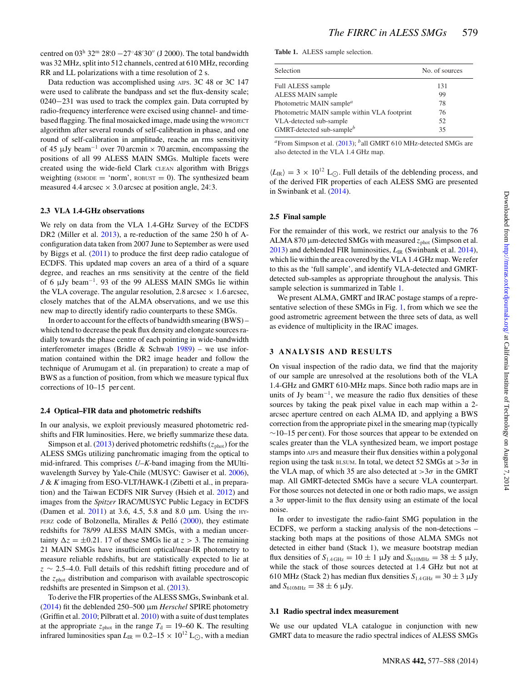centred on  $03^{\text{h}}$   $32^{\text{m}}$   $28^{\text{s}}$  $0 - 27°48'30''$  (J 2000). The total bandwidth was 32 MHz, split into 512 channels, centred at 610 MHz, recording RR and LL polarizations with a time resolution of 2 s.

Data reduction was accomplished using AIPS. 3C 48 or 3C 147 were used to calibrate the bandpass and set the flux-density scale; 0240−231 was used to track the complex gain. Data corrupted by radio-frequency interference were excised using channel- and timebased flagging. The final mosaicked image, made using the WPROJECT algorithm after several rounds of self-calibration in phase, and one round of self-calibration in amplitude, reache an rms sensitivity of 45 <sup>µ</sup>Jy beam−<sup>1</sup> over 70 arcmin <sup>×</sup> 70 arcmin, encompassing the positions of all 99 ALESS MAIN SMGs. Multiple facets were created using the wide-field Clark CLEAN algorithm with Briggs weighting ( $RMODE = 'norm'$ ,  $ROBUST = 0$ ). The synthesized beam measured 4.4 arcsec  $\times$  3.0 arcsec at position angle, 24.3.

#### **2.3 VLA 1.4-GHz observations**

We rely on data from the VLA 1.4-GHz Survey of the ECDFS DR2 (Miller et al. [2013\)](#page-10-30), a re-reduction of the same 250 h of Aconfiguration data taken from 2007 June to September as were used by Biggs et al. [\(2011\)](#page-10-31) to produce the first deep radio catalogue of ECDFS. This updated map covers an area of a third of a square degree, and reaches an rms sensitivity at the centre of the field of 6  $\mu$ Jy beam<sup>-1</sup>. 93 of the 99 ALESS MAIN SMGs lie within the VLA coverage. The angular resolution, 2.8 arcsec  $\times$  1.6 arcsec, closely matches that of the ALMA observations, and we use this new map to directly identify radio counterparts to these SMGs.

In order to account for the effects of bandwidth smearing (BWS) – which tend to decrease the peak flux density and elongate sources radially towards the phase centre of each pointing in wide-bandwidth interferometer images (Bridle & Schwab [1989\)](#page-10-32) – we use information contained within the DR2 image header and follow the technique of Arumugam et al. (in preparation) to create a map of BWS as a function of position, from which we measure typical flux corrections of 10–15 per cent.

#### **2.4 Optical–FIR data and photometric redshifts**

In our analysis, we exploit previously measured photometric redshifts and FIR luminosities. Here, we briefly summarize these data.

Simpson et al.  $(2013)$  derived photometric redshifts ( $z_{phot}$ ) for the ALESS SMGs utilizing panchromatic imaging from the optical to mid-infrared. This comprises *U*–*K*-band imaging from the MUltiwavelength Survey by Yale-Chile (MUSYC: Gawiser et al. [2006\)](#page-10-34), *J* & *K* imaging from ESO-VLT/HAWK-I (Zibetti et al., in preparation) and the Taiwan ECDFS NIR Survey (Hsieh et al. [2012\)](#page-10-35) and images from the *Spitzer* IRAC/MUSYC Public Legacy in ECDFS (Damen et al.  $2011$ ) at 3.6, 4.5, 5.8 and 8.0  $\mu$ m. Using the HY-PERZ code of Bolzonella, Miralles & Pelló  $(2000)$  $(2000)$ , they estimate redshifts for 78/99 ALESS MAIN SMGs, with a median uncertainty  $\Delta z = \pm 0.21$ . 17 of these SMGs lie at  $z > 3$ . The remaining 21 MAIN SMGs have insufficient optical/near-IR photometry to measure reliable redshifts, but are statistically expected to lie at  $z \sim 2.5-4.0$ . Full details of this redshift fitting procedure and of the  $z<sub>phot</sub>$  distribution and comparison with available spectroscopic redshifts are presented in Simpson et al. [\(2013\)](#page-10-33).

To derive the FIR properties of the ALESS SMGs, Swinbank et al. [\(2014\)](#page-10-4) fit the deblended 250–500 µm *Herschel* SPIRE photometry (Griffin et al. [2010;](#page-10-38) Pilbratt et al. [2010\)](#page-10-39) with a suite of dust templates at the appropriate  $z_{phot}$  in the range  $T_d = 19-60$  K. The resulting infrared luminosities span  $L_{IR} = 0.2 - 15 \times 10^{12}$  L<sub>O</sub>, with a median

<span id="page-2-0"></span>**Table 1.** ALESS sample selection.

| Selection                                    | No. of sources |
|----------------------------------------------|----------------|
| Full ALESS sample                            | 131            |
| <b>ALESS MAIN sample</b>                     | 99             |
| Photometric MAIN sample <sup>a</sup>         | 78             |
| Photometric MAIN sample within VLA footprint | 76             |
| VLA-detected sub-sample                      | 52             |
| GMRT-detected sub-sample <sup>b</sup>        | 35             |

*<sup>a</sup>*From Simpson et al. [\(2013\)](#page-10-33); *<sup>b</sup>*all GMRT 610 MHz-detected SMGs are also detected in the VLA 1.4 GHz map.

 $\langle L_{\rm IR} \rangle = 3 \times 10^{12}$  L<sub>O</sub>. Full details of the deblending process, and of the derived FIR properties of each ALESS SMG are presented in Swinbank et al. [\(2014\)](#page-10-4).

#### **2.5 Final sample**

For the remainder of this work, we restrict our analysis to the 76 ALMA 870  $\mu$ m-detected SMGs with measured  $z_{phot}$  (Simpson et al. [2013\)](#page-10-33) and deblended FIR luminosities,  $L_{IR}$  (Swinbank et al. [2014\)](#page-10-4), which lie within the area covered by the VLA 1.4 GHz map. We refer to this as the 'full sample', and identify VLA-detected and GMRTdetected sub-samples as appropriate throughout the analysis. This sample selection is summarized in Table [1.](#page-2-0)

We present ALMA, GMRT and IRAC postage stamps of a representative selection of these SMGs in Fig. [1,](#page-3-0) from which we see the good astrometric agreement between the three sets of data, as well as evidence of multiplicity in the IRAC images.

#### **3 ANALYSIS AND RESULTS**

On visual inspection of the radio data, we find that the majority of our sample are unresolved at the resolutions both of the VLA 1.4-GHz and GMRT 610-MHz maps. Since both radio maps are in units of Jy beam<sup>-1</sup>, we measure the radio flux densities of these sources by taking the peak pixel value in each map within a 2 arcsec aperture centred on each ALMA ID, and applying a BWS correction from the appropriate pixel in the smearing map (typically  $\sim$ 10–15 per cent). For those sources that appear to be extended on scales greater than the VLA synthesized beam, we import postage stamps into AIPS and measure their flux densities within a polygonal region using the task BLSUM. In total, we detect 52 SMGs at  $>3\sigma$  in the VLA map, of which 35 are also detected at  $>3\sigma$  in the GMRT map. All GMRT-detected SMGs have a secure VLA counterpart. For those sources not detected in one or both radio maps, we assign a  $3\sigma$  upper-limit to the flux density using an estimate of the local noise.

In order to investigate the radio-faint SMG population in the ECDFS, we perform a stacking analysis of the non-detections – stacking both maps at the positions of those ALMA SMGs not detected in either band (Stack 1), we measure bootstrap median flux densities of  $S_{1.4 \text{ GHz}} = 10 \pm 1 \text{ }\mu\text{Jy}$  and  $S_{610 \text{ MHz}} = 38 \pm 5 \text{ }\mu\text{Jy}$ , while the stack of those sources detected at 1.4 GHz but not at 610 MHz (Stack 2) has median flux densities  $S_{1.4 \text{ GHz}} = 30 \pm 3 \text{ }\mu\text{Jy}$ and  $S_{610MHz} = 38 \pm 6 \mu Jy$ .

#### **3.1 Radio spectral index measurement**

We use our updated VLA catalogue in conjunction with new GMRT data to measure the radio spectral indices of ALESS SMGs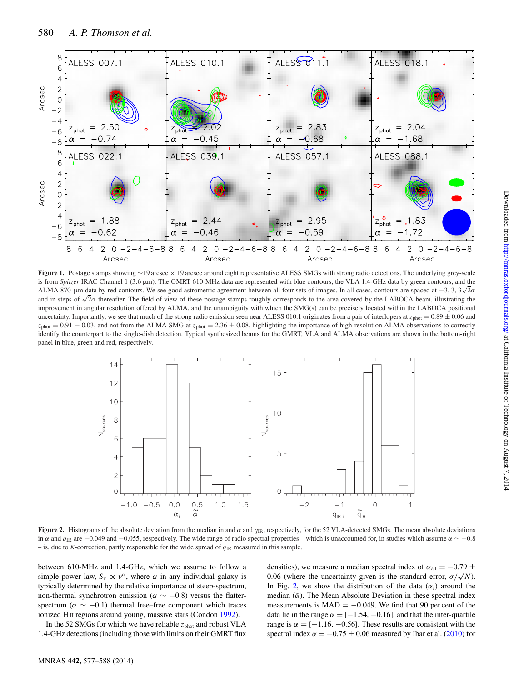<span id="page-3-0"></span>

**Figure 1.** Postage stamps showing ∼19 arcsec × 19 arcsec around eight representative ALESS SMGs with strong radio detections. The underlying grey-scale is from *Spitzer* IRAC Channel 1 (3.6 μm). The GMRT 610-MHz data are represented with blue contours, the VLA 1.4-GHz data by green contours, and the ALMA 870-μm data by red contours. We see good astrometric agreement between all four sets of images. In all cases, contours are spaced at  $-3$ ,  $3$ ,  $3\sqrt{2}\sigma$ and in steps of  $\sqrt{2\sigma}$  thereafter. The field of view of these postage stamps roughly corresponds to the area covered by the LABOCA beam, illustrating the improvement in angular resolution offered by ALMA, and the unambiguity with which the SMG(s) can be precisely located within the LABOCA positional uncertainty. Importantly, we see that much of the strong radio emission seen near ALESS 010.1 originates from a pair of interlopers at  $z_{\text{phot}} = 0.89 \pm 0.06$  and  $z_{phot} = 0.91 \pm 0.03$ , and not from the ALMA SMG at  $z_{phot} = 2.36 \pm 0.08$ , highlighting the importance of high-resolution ALMA observations to correctly identify the counterpart to the single-dish detection. Typical synthesized beams for the GMRT, VLA and ALMA observations are shown in the bottom-right panel in blue, green and red, respectively.

<span id="page-3-1"></span>

**Figure 2.** Histograms of the absolute deviation from the median in and  $\alpha$  and  $q_{\text{IR}}$ , respectively, for the 52 VLA-detected SMGs. The mean absolute deviations in  $\alpha$  and  $q_{\text{IR}}$  are −0.049 and −0.055, respectively. The wide range of radio spectral properties – which is unaccounted for, in studies which assume  $\alpha \sim -0.8$ – is, due to *K*-correction, partly responsible for the wide spread of  $q_{\text{IR}}$  measured in this sample.

between 610-MHz and 1.4-GHz, which we assume to follow a simple power law,  $S_v \propto v^{\alpha}$ , where  $\alpha$  in any individual galaxy is typically determined by the relative importance of steep-spectrum, non-thermal synchrotron emission ( $\alpha \sim -0.8$ ) versus the flatterspectrum ( $\alpha \sim -0.1$ ) thermal free–free component which traces ionized H II regions around young, massive stars (Condon [1992\)](#page-10-10).

In the 52 SMGs for which we have reliable  $z<sub>phot</sub>$  and robust VLA 1.4-GHz detections (including those with limits on their GMRT flux

densities), we measure a median spectral index of  $\alpha_{all} = -0.79 \pm$ 0.06 (where the uncertainty given is the standard error,  $\sigma/\sqrt{N}$ ). In Fig. [2,](#page-3-1) we show the distribution of the data  $(\alpha_i)$  around the median  $(\tilde{\alpha})$ . The Mean Absolute Deviation in these spectral index measurements is  $MAD = -0.049$ . We find that 90 per cent of the data lie in the range  $\alpha = [-1.54, -0.16]$ , and that the inter-quartile range is  $\alpha = [-1.16, -0.56]$ . These results are consistent with the spectral index  $\alpha = -0.75 \pm 0.06$  measured by Ibar et al. [\(2010\)](#page-10-26) for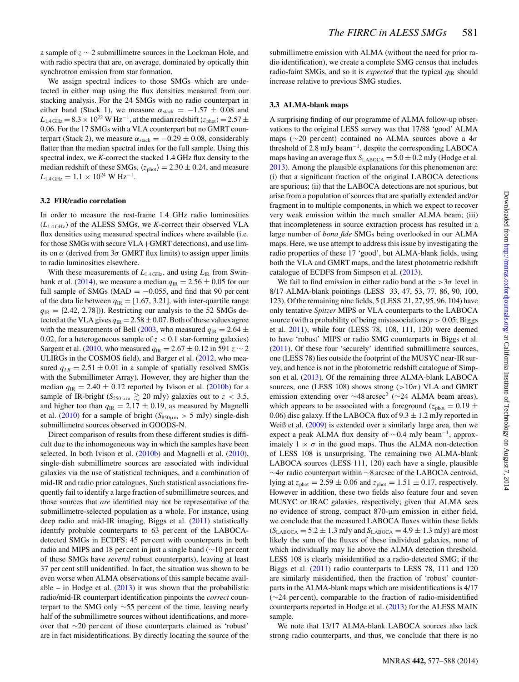a sample of z ∼ 2 submillimetre sources in the Lockman Hole, and with radio spectra that are, on average, dominated by optically thin synchrotron emission from star formation.

We assign spectral indices to those SMGs which are undetected in either map using the flux densities measured from our stacking analysis. For the 24 SMGs with no radio counterpart in either band (Stack 1), we measure  $\alpha_{\text{stack}} = -1.57 \pm 0.08$  and  $L_{1.4 \text{ GHz}} = 8.3 \times 10^{22} \text{ W Hz}^{-1}$ , at the median redshift  $\langle z_{\text{phot}} \rangle = 2.57 \pm 10^{22} \text{ W Hz}^{-1}$ 0.06. For the 17 SMGs with a VLA counterpart but no GMRT counterpart (Stack 2), we measure  $\alpha_{\text{stack}} = -0.29 \pm 0.08$ , considerably flatter than the median spectral index for the full sample. Using this spectral index, we *K*-correct the stacked 1.4 GHz flux density to the median redshift of these SMGs,  $\langle z_{\text{phot}} \rangle = 2.30 \pm 0.24$ , and measure  $L_{1.4 \text{ GHz}} = 1.1 \times 10^{24} \text{ W Hz}^{-1}.$ 

# **3.2 FIR/radio correlation**

In order to measure the rest-frame 1.4 GHz radio luminosities  $(L_{1.4 \text{ GHz}})$  of the ALESS SMGs, we *K*-correct their observed VLA flux densities using measured spectral indices where available (i.e. for those SMGs with secure VLA+GMRT detections), and use limits on  $\alpha$  (derived from  $3\sigma$  GMRT flux limits) to assign upper limits to radio luminosities elsewhere.

With these measurements of  $L_{1.4 \text{ GHz}}$ , and using  $L_{IR}$  from Swin-bank et al. [\(2014\)](#page-10-4), we measure a median  $q_{\text{IR}} = 2.56 \pm 0.05$  for our full sample of SMGs (MAD =  $-0.055$ , and find that 90 per cent of the data lie between  $q_{\text{IR}} = [1.67, 3.21]$ , with inter-quartile range  $q_{IR}$  = [2.42, 2.78])). Restricting our analysis to the 52 SMGs detected at the VLA gives  $q_{\text{IR}} = 2.58 \pm 0.07$ . Both of these values agree with the measurements of Bell [\(2003,](#page-10-40) who measured  $q_{\text{IR}} = 2.64 \pm$ 0.02, for a heterogeneous sample of  $z < 0.1$  star-forming galaxies) Sargent et al. [\(2010,](#page-10-19) who measured  $q_{\text{IR}} = 2.67 \pm 0.12$  in 591  $z \sim 2$ ULIRGs in the COSMOS field), and Barger et al. [\(2012,](#page-10-21) who measured  $q_{IR} = 2.51 \pm 0.01$  in a sample of spatially resolved SMGs with the Submillimeter Array). However, they are higher than the median  $q_{\text{IR}} = 2.40 \pm 0.12$  reported by Ivison et al. [\(2010b\)](#page-10-24) for a sample of IR-bright ( $S_{250\,\mu\mathrm{m}} \gtrsim 20$  mJy) galaxies out to  $z < 3.5$ , and higher too than  $q_{\text{IR}} = 2.17 \pm 0.19$ , as measured by Magnelli et al. [\(2010\)](#page-10-41) for a sample of bright ( $S_{850\mu m} > 5$  mJy) single-dish submillimetre sources observed in GOODS-N.

Direct comparison of results from these different studies is difficult due to the inhomogeneous way in which the samples have been selected. In both Ivison et al. [\(2010b\)](#page-10-24) and Magnelli et al. [\(2010\)](#page-10-41), single-dish submillimetre sources are associated with individual galaxies via the use of statistical techniques, and a combination of mid-IR and radio prior catalogues. Such statistical associations frequently fail to identify a large fraction of submillimetre sources, and those sources that *are* identified may not be representative of the submillimetre-selected population as a whole. For instance, using deep radio and mid-IR imaging, Biggs et al. [\(2011\)](#page-10-31) statistically identify probable counterparts to 63 per cent of the LABOCAdetected SMGs in ECDFS: 45 per cent with counterparts in both radio and MIPS and 18 per cent in just a single band (∼10 per cent of these SMGs have *several* robust counterparts), leaving at least 37 per cent still unidentified. In fact, the situation was shown to be even worse when ALMA observations of this sample became available – in Hodge et al.  $(2013)$  it was shown that the probabilistic radio/mid-IR counterpart identification pinpoints the *correct* counterpart to the SMG only ∼55 per cent of the time, leaving nearly half of the submillimetre sources without identifications, and moreover that ∼20 per cent of those counterparts claimed as 'robust' are in fact misidentifications. By directly locating the source of the

submillimetre emission with ALMA (without the need for prior radio identification), we create a complete SMG census that includes radio-faint SMGs, and so it is *expected* that the typical  $q_{\text{IR}}$  should increase relative to previous SMG studies.

#### **3.3 ALMA-blank maps**

A surprising finding of our programme of ALMA follow-up observations to the original LESS survey was that 17/88 'good' ALMA maps ( $\sim$ 20 per cent) contained no ALMA sources above a 4 $\sigma$ threshold of 2.8 mJy beam−1, despite the corresponding LABOCA maps having an average flux  $S_{\text{LABOCA}} = 5.0 \pm 0.2$  mJy (Hodge et al. [2013\)](#page-10-25). Among the plausible explanations for this phenomenon are: (i) that a significant fraction of the original LABOCA detections are spurious; (ii) that the LABOCA detections are not spurious, but arise from a population of sources that are spatially extended and/or fragment in to multiple components, in which we expect to recover very weak emission within the much smaller ALMA beam; (iii) that incompleteness in source extraction process has resulted in a large number of *bona fide* SMGs being overlooked in our ALMA maps. Here, we use attempt to address this issue by investigating the radio properties of these 17 'good', but ALMA-blank fields, using both the VLA and GMRT maps, and the latest photometric redshift catalogue of ECDFS from Simpson et al. [\(2013\)](#page-10-33).

We fail to find emission in either radio band at the  $>3\sigma$  level in 8/17 ALMA-blank pointings (LESS 33, 47, 53, 77, 86, 90, 100, 123). Of the remaining nine fields, 5 (LESS 21, 27, 95, 96, 104) have only tentative *Spitzer* MIPS or VLA counterparts to the LABOCA source (with a probability of being misassociations  $p > 0.05$ ; Biggs et al. [2011\)](#page-10-31), while four (LESS 78, 108, 111, 120) were deemed to have 'robust' MIPS or radio SMG counterparts in Biggs et al. [\(2011\)](#page-10-31). Of these four 'securely' identified submillimetre sources, one (LESS 78) lies outside the footprint of the MUSYC near-IR survey, and hence is not in the photometric redshift catalogue of Simpson et al. [\(2013\)](#page-10-33). Of the remaining three ALMA-blank LABOCA sources, one (LESS 108) shows strong  $(>10\sigma)$  VLA and GMRT emission extending over  $\sim$ 48 arcsec<sup>2</sup> ( $\sim$ 24 ALMA beam areas), which appears to be associated with a foreground ( $z_{phot} = 0.19 \pm$ 0.06) disc galaxy. If the LABOCA flux of  $9.3 \pm 1.2$  mJy reported in Weiß et al. [\(2009\)](#page-11-1) is extended over a similarly large area, then we expect a peak ALMA flux density of <sup>∼</sup>0.4 mJy beam−1, approximately  $1 \times \sigma$  in the good maps. Thus the ALMA non-detection of LESS 108 is unsurprising. The remaining two ALMA-blank LABOCA sources (LESS 111, 120) each have a single, plausible ∼4σ radio counterpart within ∼8 arcsec of the LABOCA centroid, lying at  $z<sub>phot</sub> = 2.59 \pm 0.06$  and  $z<sub>phot</sub> = 1.51 \pm 0.17$ , respectively. However in addition, these two fields also feature four and seven MUSYC or IRAC galaxies, respectively; given that ALMA sees no evidence of strong, compact 870-µm emission in either field, we conclude that the measured LABOCA fluxes within these fields  $(S<sub>LABOCA</sub> = 5.2 \pm 1.3 \text{ mJy}$  and  $S<sub>LABOCA</sub> = 4.9 \pm 1.3 \text{ mJy}$  are most likely the sum of the fluxes of these individual galaxies, none of which individually may lie above the ALMA detection threshold. LESS 108 is clearly misidentified as a radio-detected SMG; if the Biggs et al. [\(2011\)](#page-10-31) radio counterparts to LESS 78, 111 and 120 are similarly misidentified, then the fraction of 'robust' counterparts in the ALMA-blank maps which are misidentifications is 4/17 (∼24 per cent), comparable to the fraction of radio-misidentified counterparts reported in Hodge et al. [\(2013\)](#page-10-25) for the ALESS MAIN sample.

We note that 13/17 ALMA-blank LABOCA sources also lack strong radio counterparts, and thus, we conclude that there is no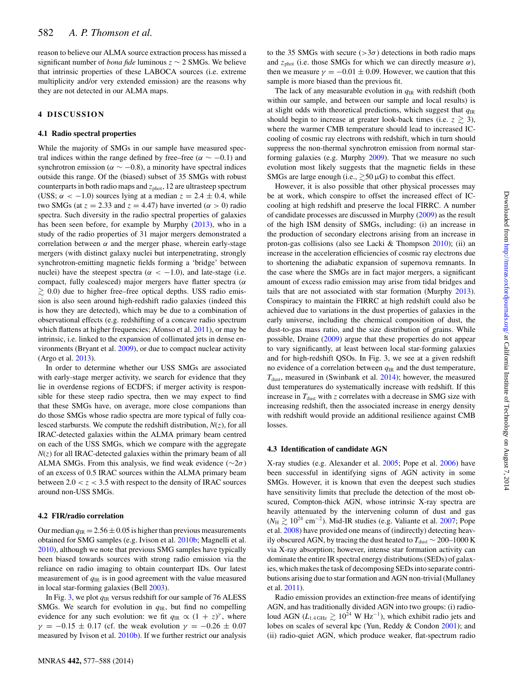reason to believe our ALMA source extraction process has missed a significant number of *bona fide* luminous z ∼ 2 SMGs. We believe that intrinsic properties of these LABOCA sources (i.e. extreme multiplicity and/or very extended emission) are the reasons why they are not detected in our ALMA maps.

## **4 DISCUSSION**

## **4.1 Radio spectral properties**

While the majority of SMGs in our sample have measured spectral indices within the range defined by free–free ( $\alpha \sim -0.1$ ) and synchrotron emission ( $\alpha \sim -0.8$ ), a minority have spectral indices outside this range. Of the (biased) subset of 35 SMGs with robust counterparts in both radio maps and  $z_{phot}$ , 12 are ultrasteep spectrum (USS;  $\alpha$  < -1.0) sources lying at a median  $z = 2.4 \pm 0.4$ , while two SMGs (at  $z = 2.33$  and  $z = 4.47$ ) have inverted ( $\alpha > 0$ ) radio spectra. Such diversity in the radio spectral properties of galaxies has been seen before, for example by Murphy [\(2013\)](#page-10-27), who in a study of the radio properties of 31 major mergers demonstrated a correlation between  $\alpha$  and the merger phase, wherein early-stage mergers (with distinct galaxy nuclei but interpenetrating, strongly synchrotron-emitting magnetic fields forming a 'bridge' between nuclei) have the steepest spectra ( $\alpha < -1.0$ ), and late-stage (i.e. compact, fully coalesced) major mergers have flatter spectra ( $\alpha$  $\gtrsim$  0.0) due to higher free–free optical depths. USS radio emission is also seen around high-redshift radio galaxies (indeed this is how they are detected), which may be due to a combination of observational effects (e.g. redshifting of a concave radio spectrum which flattens at higher frequencies; Afonso et al. [2011\)](#page-10-42), or may be intrinsic, i.e. linked to the expansion of collimated jets in dense environments (Bryant et al. [2009\)](#page-10-43), or due to compact nuclear activity (Argo et al. [2013\)](#page-10-44).

In order to determine whether our USS SMGs are associated with early-stage merger activity, we search for evidence that they lie in overdense regions of ECDFS; if merger activity is responsible for these steep radio spectra, then we may expect to find that these SMGs have, on average, more close companions than do those SMGs whose radio spectra are more typical of fully coalesced starbursts. We compute the redshift distribution,  $N(z)$ , for all IRAC-detected galaxies within the ALMA primary beam centred on each of the USS SMGs, which we compare with the aggregate  $N(z)$  for all IRAC-detected galaxies within the primary beam of all ALMA SMGs. From this analysis, we find weak evidence ( $\sim$ 2 $\sigma$ ) of an excess of 0.5 IRAC sources within the ALMA primary beam between  $2.0 < z < 3.5$  with respect to the density of IRAC sources around non-USS SMGs.

#### **4.2 FIR/radio correlation**

Our median  $q_{IR} = 2.56 \pm 0.05$  is higher than previous measurements obtained for SMG samples (e.g. Ivison et al. [2010b;](#page-10-24) Magnelli et al. [2010\)](#page-10-41), although we note that previous SMG samples have typically been biased towards sources with strong radio emission via the reliance on radio imaging to obtain counterpart IDs. Our latest measurement of *q*IR is in good agreement with the value measured in local star-forming galaxies (Bell [2003\)](#page-10-40).

In Fig. [3,](#page-6-0) we plot  $q_{IR}$  versus redshift for our sample of 76 ALESS SMGs. We search for evolution in *q*IR, but find no compelling evidence for any such evolution: we fit  $q_{\text{IR}} \propto (1 + z)^{\gamma}$ , where  $\gamma = -0.15 \pm 0.17$  (cf. the weak evolution  $\gamma = -0.26 \pm 0.07$ measured by Ivison et al. [2010b\)](#page-10-24). If we further restrict our analysis to the 35 SMGs with secure ( $>3\sigma$ ) detections in both radio maps and  $z<sub>phot</sub>$  (i.e. those SMGs for which we can directly measure  $\alpha$ ), then we measure  $\gamma = -0.01 \pm 0.09$ . However, we caution that this sample is more biased than the previous fit.

The lack of any measurable evolution in *q*IR with redshift (both within our sample, and between our sample and local results) is at slight odds with theoretical predictions, which suggest that  $q_{\text{IR}}$ should begin to increase at greater look-back times (i.e.  $z \gtrsim 3$ ), where the warmer CMB temperature should lead to increased ICcooling of cosmic ray electrons with redshift, which in turn should suppress the non-thermal synchrotron emission from normal starforming galaxies (e.g. Murphy [2009\)](#page-10-45). That we measure no such evolution most likely suggests that the magnetic fields in these SMGs are large enough (i.e.,  $\gtrsim$  50  $\mu$ G) to combat this effect.

However, it is also possible that other physical processes may be at work, which conspire to offset the increased effect of ICcooling at high redshift and preserve the local FIRRC. A number of candidate processes are discussed in Murphy [\(2009\)](#page-10-45) as the result of the high ISM density of SMGs, including: (i) an increase in the production of secondary electrons arising from an increase in proton-gas collisions (also see Lacki & Thompson [2010\)](#page-10-9); (ii) an increase in the acceleration efficiencies of cosmic ray electrons due to shortening the adiabatic expansion of supernova remnants. In the case where the SMGs are in fact major mergers, a significant amount of excess radio emission may arise from tidal bridges and tails that are not associated with star formation (Murphy [2013\)](#page-10-27). Conspiracy to maintain the FIRRC at high redshift could also be achieved due to variations in the dust properties of galaxies in the early universe, including the chemical composition of dust, the dust-to-gas mass ratio, and the size distribution of grains. While possible, Draine [\(2009\)](#page-10-46) argue that these properties do not appear to vary significantly, at least between local star-forming galaxies and for high-redshift QSOs. In Fig. 3, we see at a given redshift no evidence of a correlation between  $q_{\text{IR}}$  and the dust temperature,  $T_{\text{dust}}$ , measured in (Swinbank et al. [2014\)](#page-10-4); however, the measured dust temperatures do systematically increase with redshift. If this increase in  $T_{\text{dust}}$  with z correlates with a decrease in SMG size with increasing redshift, then the associated increase in energy density with redshift would provide an additional resilience against CMB losses.

## **4.3 Identification of candidate AGN**

X-ray studies (e.g. Alexander et al. [2005;](#page-10-47) Pope et al. [2006\)](#page-10-48) have been successful in identifying signs of AGN activity in some SMGs. However, it is known that even the deepest such studies have sensitivity limits that preclude the detection of the most obscured, Compton-thick AGN, whose intrinsic X-ray spectra are heavily attenuated by the intervening column of dust and gas  $(N_H \gtrsim 10^{24} \text{ cm}^{-2})$ . Mid-IR studies (e.g. Valiante et al. [2007;](#page-10-49) Pope et al. [2008\)](#page-10-50) have provided one means of (indirectly) detecting heavily obscured AGN, by tracing the dust heated to  $T_{\text{dust}}$  ∼ 200–1000 K via X-ray absorption; however, intense star formation activity can dominate the entire IR spectral energy distributions (SEDs) of galaxies, which makes the task of decomposing SEDs into separate contributions arising due to star formation and AGN non-trivial (Mullaney et al. [2011\)](#page-10-51)[.](#page-7-0)

Radio emission provides an extinction-free means of identifying AGN, and has traditionally divided AGN into two groups: (i) radioloud AGN ( $L_{1.4\text{ GHz}} \gtrsim 10^{24} \text{ W Hz}^{-1}$ ), which exhibit radio jets and lobes on scales of several kpc (Yun, Reddy & Condon [2001\)](#page-11-2); and (ii) radio-quiet AGN, which produce weaker, flat-spectrum radio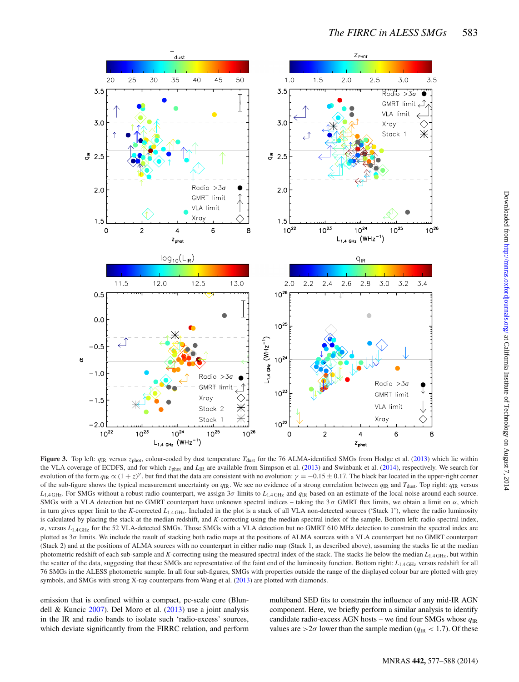<span id="page-6-0"></span>

**Figure 3.** Top left:  $q_{\text{IR}}$  versus  $z_{\text{phot}}$ , colour-coded by dust temperature  $T_{\text{dust}}$  for the 76 ALMA-identified SMGs from Hodge et al. [\(2013\)](#page-10-25) which lie within the VLA coverage of ECDFS, and for which z<sub>phot</sub> and *L*<sub>IR</sub> are available from Simpson et al. [\(2013\)](#page-10-33) and Swinbank et al. [\(2014\)](#page-10-4), respectively. We search for evolution of the form  $q_{\text{IR}} \propto (1+z)^{\gamma}$ , but find that the data are consistent with no evolution:  $\gamma = -0.15 \pm 0.17$ . The black bar located in the upper-right corner of the sub-figure shows the typical measurement uncertainty on  $q_{\text{IR}}$ . We see no evidence of a strong correlation between  $q_{\text{IR}}$  and  $T_{\text{dust}}$ . Top right:  $q_{\text{IR}}$  versus *L*1.4 GHz. For SMGs without a robust radio counterpart, we assign 3σ limits to *L*1.4 GHz and *q*IR based on an estimate of the local noise around each source. SMGs with a VLA detection but no GMRT counterpart have unknown spectral indices – taking the  $3\sigma$  GMRT flux limits, we obtain a limit on  $\alpha$ , which in turn gives upper limit to the *K*-corrected *L*1.4 GHz. Included in the plot is a stack of all VLA non-detected sources ('Stack 1'), where the radio luminosity is calculated by placing the stack at the median redshift, and *K*-correcting using the median spectral index of the sample. Bottom left: radio spectral index, α, versus *L*1.4 GHz for the 52 VLA-detected SMGs. Those SMGs with a VLA detection but no GMRT 610 MHz detection to constrain the spectral index are plotted as 3 $\sigma$  limits. We include the result of stacking both radio maps at the positions of ALMA sources with a VLA counterpart but no GMRT counterpart (Stack 2) and at the positions of ALMA sources with no counterpart in either radio map (Stack 1, as described above), assuming the stacks lie at the median photometric redshift of each sub-sample and *K*-correcting using the measured spectral index of the stack. The stacks lie below the median  $L_{1.4\text{ GHz}}$ , but within the scatter of the data, suggesting that these SMGs are representative of the faint end of the luminosity function. Bottom right:  $L_{1.4\text{ GHz}}$  versus redshift for all 76 SMGs in the ALESS photometric sample. In all four sub-figures, SMGs with properties outside the range of the displayed colour bar are plotted with grey symbols, and SMGs with strong X-ray counterparts from Wang et al. [\(2013\)](#page-11-3) are plotted with diamonds.

emission that is confined within a compact, pc-scale core (Blundell & Kuncic [2007\)](#page-10-52). Del Moro et al. [\(2013\)](#page-10-13) use a joint analysis in the IR and radio bands to isolate such 'radio-excess' sources, which deviate significantly from the FIRRC relation, and perform multiband SED fits to constrain the influence of any mid-IR AGN component. Here, we briefly perform a similar analysis to identify candidate radio-excess AGN hosts – we find four SMGs whose *q*IR values are  $>2\sigma$  lower than the sample median ( $q_{\text{IR}} < 1.7$ ). Of these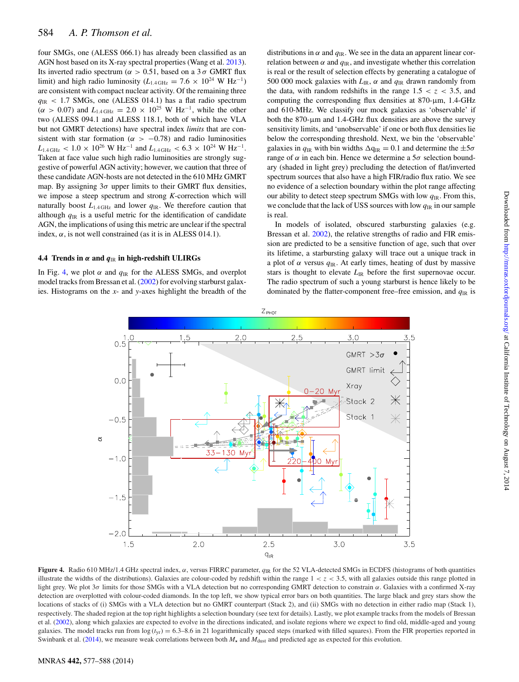four SMGs, one (ALESS 066.1) has already been classified as an AGN host based on its X-ray spectral properties (Wang et al. [2013\)](#page-11-3). Its inverted radio spectrum ( $\alpha > 0.51$ , based on a 3  $\sigma$  GMRT flux limit) and high radio luminosity ( $L_{1.4 \text{ GHz}} = 7.6 \times 10^{24} \text{ W Hz}^{-1}$ ) are consistent with compact nuclear activity. Of the remaining three  $q_{\text{IR}}$  < 1.7 SMGs, one (ALESS 014.1) has a flat radio spectrum  $(\alpha > 0.07)$  and  $L_{1.4 \text{ GHz}} = 2.0 \times 10^{25} \text{ W Hz}^{-1}$ , while the other two (ALESS 094.1 and ALESS 118.1, both of which have VLA but not GMRT detections) have spectral index *limits* that are consistent with star formation ( $\alpha$  > −0.78) and radio luminosities  $L_{1.4 \text{ GHz}} < 1.0 \times 10^{26} \text{ W Hz}^{-1}$  and  $L_{1.4 \text{ GHz}} < 6.3 \times 10^{24} \text{ W Hz}^{-1}$ . Taken at face value such high radio luminosities are strongly suggestive of powerful AGN activity; however, we caution that three of these candidate AGN-hosts are not detected in the 610 MHz GMRT map. By assigning  $3\sigma$  upper limits to their GMRT flux densities, we impose a steep spectrum and strong *K*-correction which will naturally boost  $L_{1.4 \text{ GHz}}$  and lower  $q_{\text{IR}}$ . We therefore caution that although  $q_{IR}$  is a useful metric for the identification of candidate AGN, the implications of using this metric are unclear if the spectral index,  $\alpha$ , is not well constrained (as it is in ALESS 014.1).

# **4.4 Trends in** *α* **and** *q*IR **in high-redshift ULIRGs**

<span id="page-7-0"></span>In Fig. [4,](#page-7-0) we plot  $\alpha$  and  $q_{\text{IR}}$  for the ALESS SMGs, and overplot model tracks from Bressan et al. [\(2002\)](#page-10-11) for evolving starburst galaxies. Histograms on the *x*- and *y*-axes highlight the breadth of the

distributions in  $\alpha$  and  $q_{\text{IR}}$ . We see in the data an apparent linear correlation between  $\alpha$  and  $q_{\text{IR}}$ , and investigate whether this correlation is real or the result of selection effects by generating a catalogue of 500 000 mock galaxies with  $L_{IR}$ ,  $\alpha$  and  $q_{IR}$  drawn randomly from the data, with random redshifts in the range  $1.5 < z < 3.5$ , and computing the corresponding flux densities at  $870$ - $\mu$ m, 1.4-GHz and 610-MHz. We classify our mock galaxies as 'observable' if both the 870-µm and 1.4-GHz flux densities are above the survey sensitivity limits, and 'unobservable' if one or both flux densities lie below the corresponding threshold. Next, we bin the 'observable' galaxies in  $q_{\text{IR}}$  with bin widths  $\Delta q_{\text{IR}} = 0.1$  and determine the  $\pm 5\sigma$ range of α in each bin. Hence we determine a  $5σ$  selection boundary (shaded in light grey) precluding the detection of flat/inverted spectrum sources that also have a high FIR/radio flux ratio. We see no evidence of a selection boundary within the plot range affecting our ability to detect steep spectrum SMGs with low  $q_{\text{IR}}$ . From this, we conclude that the lack of USS sources with low *q*IR in our sample is real[.](#page-8-0)

In models of isolated, obscured starbursting galaxies (e.g. Bressan et al. [2002\)](#page-10-11), the relative strengths of radio and FIR emission are predicted to be a sensitive function of age, such that over its lifetime, a starbursting galaxy will trace out a unique track in a plot of  $\alpha$  versus  $q_{\text{IR}}$ . At early times, heating of dust by massive stars is thought to elevate  $L_{IR}$  before the first supernovae occur. The radio spectrum of such a young starburst is hence likely to be dominated by the flatter-component free–free emission, and  $q_{\text{IR}}$  is



**Figure 4.** Radio 610 MHz/1.4 GHz spectral index, α, versus FIRRC parameter, *q*IR for the 52 VLA-detected SMGs in ECDFS (histograms of both quantities illustrate the widths of the distributions). Galaxies are colour-coded by redshift within the range  $1 < z < 3.5$ , with all galaxies outside this range plotted in light grey. We plot 3σ limits for those SMGs with a VLA detection but no corresponding GMRT detection to constrain α. Galaxies with a confirmed X-ray detection are overplotted with colour-coded diamonds. In the top left, we show typical error bars on both quantities. The large black and grey stars show the locations of stacks of (i) SMGs with a VLA detection but no GMRT counterpart (Stack 2), and (ii) SMGs with no detection in either radio map (Stack 1), respectively. The shaded region at the top right highlights a selection boundary (see text for details). Lastly, we plot example tracks from the models of Bressan et al. [\(2002\)](#page-10-11), along which galaxies are expected to evolve in the directions indicated, and isolate regions where we expect to find old, middle-aged and young galaxies. The model tracks run from  $\log(t_{yr}) = 6.3 - 8.6$  in 21 logarithmically spaced steps (marked with filled squares). From the FIR properties reported in Swinbank et al. [\(2014\)](#page-10-4), we measure weak correlations between both  $M_{\star}$  and  $M_{\text{dust}}$  and predicted age as expected for this evolution.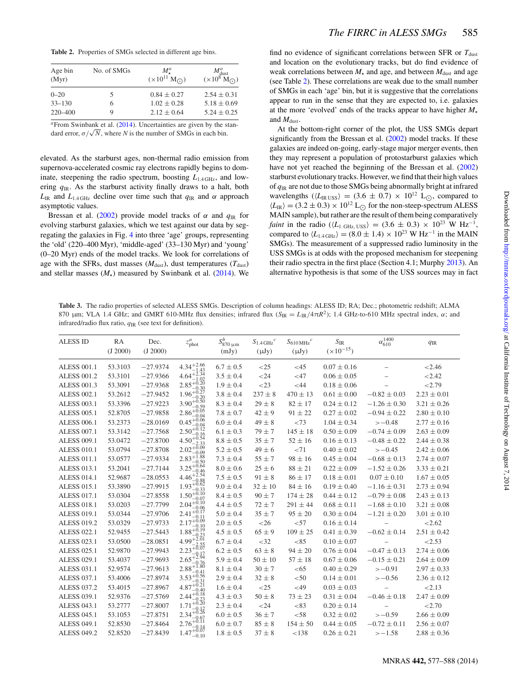<span id="page-8-0"></span>**Table 2.** Properties of SMGs selected in different age bins.

| Age bin<br>(Myr) | No. of SMGs | $M^a_{\tau}$<br>$(\times 10^{11} M_{\odot})$ | $M_{\text{dust}}^a$<br>$(\times 10^8 \text{ M}_{\odot})$ |  |  |
|------------------|-------------|----------------------------------------------|----------------------------------------------------------|--|--|
| $0 - 20$         | 5           | $0.84 \pm 0.27$                              | $2.54 \pm 0.31$                                          |  |  |
| $33 - 130$       | 6           | $1.02 \pm 0.28$                              | $5.18 \pm 0.69$                                          |  |  |
| 220-400          | 9           | $2.12 \pm 0.64$                              | $5.24 \pm 0.25$                                          |  |  |

<sup>*a*</sup>From Swinbank et al. [\(2014\)](#page-10-4). Uncertainties are given by the standard error,  $\sigma/\sqrt{N}$ , where *N* is the number of SMGs in each bin.

elevated. As the starburst ages, non-thermal radio emission from supernova-accelerated cosmic ray electrons rapidly begins to dominate, steepening the radio spectrum, boosting *L*1.4 GHz, and lowering *q*IR. As the starburst activity finally draws to a halt, both  $L_{IR}$  and  $L_{1.4 \text{ GHz}}$  decline over time such that  $q_{IR}$  and  $\alpha$  approach asymptotic values.

Bressan et al. [\(2002\)](#page-10-11) provide model tracks of  $\alpha$  and  $q_{\text{IR}}$  for evolving starburst galaxies, which we test against our data by segregating the galaxies in Fig. [4](#page-7-0) into three 'age' groups, representing the 'old' (220–400 Myr), 'middle-aged' (33–130 Myr) and 'young' (0–20 Myr) ends of the model tracks. We look for correlations of age with the SFRs, dust masses  $(M<sub>dist</sub>)$ , dust temperatures  $(T<sub>dist</sub>)$ and stellar masses  $(M<sub>*</sub>)$  measured by Swinbank et al. [\(2014\)](#page-10-4). We find no evidence of significant correlations between SFR or  $T_{\text{dust}}$ and location on the evolutionary tracks, but do find evidence of weak correlations between  $M_{\star}$  and age, and between  $M_{\text{dust}}$  and age (see Table [2\)](#page-8-0). These correlations are weak due to the small number of SMGs in each 'age' bin, but it is suggestive that the correlations appear to run in the sense that they are expected to, i.e. galaxies at the more 'evolved' ends of the tracks appear to have higher  $M_{\star}$ and  $M_{\text{dust}}$ .

At the bottom-right corner of the plot, the USS SMGs depart significantly from the Bressan et al. [\(2002\)](#page-10-11) model tracks. If these galaxies are indeed on-going, early-stage major merger events, then they may represent a population of protostarburst galaxies which have not yet reached the beginning of the Bressan et al. [\(2002\)](#page-10-11) starburst evolutionary tracks. However, we find that their high values of  $q_{IR}$  are not due to those SMGs being abnormally bright at infrared wavelengths ( $\langle L_{\text{IR USS}} \rangle = (3.6 \pm 0.7) \times 10^{12}$  L<sub>(c)</sub>, compared to  $\langle L_{\rm IR} \rangle = (3.2 \pm 0.3) \times 10^{12}$  L<sub>O</sub> for the non-steep-spectrum ALESS MAIN sample), but rather are the result of them being comparatively *faint* in the radio ( $\langle L_{1.0\text{Hz, IISS}} \rangle = (3.6 \pm 0.3) \times 10^{23} \text{ W Hz}^{-1}$ , compared to  $\langle L_{1.4 \text{ GHz}} \rangle = (8.0 \pm 1.4) \times 10^{23} \text{ W Hz}^{-1}$  in the MAIN SMGs). The measurement of a suppressed radio luminosity in the USS SMGs is at odds with the proposed mechanism for steepening their radio spectra in the first place (Section 4.1; Murphy [2013\)](#page-10-27). An alternative hypothesis is that some of the USS sources may in fact

<span id="page-8-1"></span>**Table 3.** The radio properties of selected ALESS SMGs. Description of column headings: ALESS ID; RA; Dec.; photometric redshift; ALMA 870 μm; VLA 1.4 GHz; and GMRT 610-MHz flux densities; infrared flux  $(S_{IR} = L_{IR}/4\pi R^2)$ ; 1.4 GHz-to-610 MHz spectral index, α; and infrared/radio flux ratio, *q*IR (see text for definition).

| <b>ALESS ID</b>    | RA<br>(J 2000) | Dec.<br>(J 2000) | $z_{\text{phot}}^a$               | $S_{870 \mu m}^b$<br>(mJy) | $S_{1.4 \text{ GHz}}^c$<br>$(\mu Jy)$ | $S_{610 \text{ MHz}}^c$<br>$(\mu Jy)$ | $S_{\rm IR}$<br>$(\times 10^{-15})$ | $\alpha_{610}^{1400}$ | $q_{\rm IR}$    |
|--------------------|----------------|------------------|-----------------------------------|----------------------------|---------------------------------------|---------------------------------------|-------------------------------------|-----------------------|-----------------|
| <b>ALESS 001.1</b> | 53.3103        | $-27.9374$       | $4.34 + 2.66$                     | $6.7 \pm 0.5$              | <25                                   | $<$ 45                                | $0.07 \pm 0.16$                     |                       | < 2.46          |
| <b>ALESS 001.2</b> | 53.3101        | $-27.9366$       | 4.64                              | $3.5\pm0.4$                | < 24                                  | $<$ 47                                | $0.06 \pm 0.05$                     |                       | < 2.42          |
| <b>ALESS 001.3</b> | 53.3091        | $-27.9368$       | $2.85^{+0.20}_{-0.30}$<br>$-0.30$ | $1.9 \pm 0.4$              | $<$ 23                                | <44                                   | $0.18 \pm 0.06$                     |                       | 2.79            |
| <b>ALESS 002.1</b> | 53.2612        | $-27.9452$       | $1.96^{+0.27}_{-0.22}$<br>$-0.20$ | $3.8 \pm 0.4$              | $237 \pm 8$                           | $470 \pm 13$                          | $0.61 \pm 0.00$                     | $-0.82 \pm 0.03$      | $2.23 \pm 0.01$ |
| <b>ALESS 003.1</b> | 53.3396        | $-27.9223$       | $3.90^{+0.50}_{-0.50}$<br>-0.59   | $8.3 \pm 0.4$              | $29 \pm 8$                            | $82 \pm 17$                           | $0.24 \pm 0.12$                     | $-1.26 \pm 0.30$      | $3.21 \pm 0.26$ |
| <b>ALESS 005.1</b> | 52.8705        | $-27.9858$       | $2.86^{+0.05}_{-0.02}$<br>$-0.04$ | $7.8 \pm 0.7$              | $42 \pm 9$                            | $91 \pm 22$                           | $0.27 \pm 0.02$                     | $-0.94 \pm 0.22$      | $2.80 \pm 0.10$ |
| <b>ALESS 006.1</b> | 53.2373        | $-28.0169$       | $0.45^{+0.06}_{-0.01}$<br>$-0.04$ | $6.0 \pm 0.4$              | $49 \pm 8$                            | ${<}73$                               | $1.04 \pm 0.34$                     | $>-0.48$              | $2.77 \pm 0.16$ |
| <b>ALESS 007.1</b> | 53.3142        | $-27.7568$       | $2.50^{+0.12}_{-0.12}$<br>$-0.16$ | $6.1 \pm 0.3$              | $79 + 7$                              | $145 \pm 18$                          | $0.50 \pm 0.09$                     | $-0.74 \pm 0.09$      | $2.63 \pm 0.09$ |
| <b>ALESS 009.1</b> | 53.0472        | $-27.8700$       | $4.50^{+0.54}_{-2.22}$            | $8.8 \pm 0.5$              | $35 \pm 7$                            | $52 \pm 16$                           | $0.16 \pm 0.13$                     | $-0.48\pm0.22$        | $2.44 \pm 0.38$ |
| <b>ALESS 010.1</b> | 53.0794        | $-27.8708$       | $2.02^{+0.09}$<br>0.09            | $5.2 \pm 0.5$              | $49 \pm 6$                            | < 71                                  | $0.40 \pm 0.02$                     | $>-0.45$              | $2.42 \pm 0.06$ |
| <b>ALESS 011.1</b> | 53.0577        | $-27.9334$       | $2.83^{+1.88}_{-0.52}$<br>0.50    | $7.3 \pm 0.4$              | $55 \pm 7$                            | $98 \pm 16$                           | $0.45 \pm 0.04$                     | $-0.68 \pm 0.13$      | $2.74 \pm 0.07$ |
| <b>ALESS 013.1</b> | 53.2041        | $-27.7144$       | $3.25^{+0.64}_{-0.42}$            | $8.0 \pm 0.6$              | $25 \pm 6$                            | $88 \pm 21$                           | $0.22 \pm 0.09$                     | $-1.52 \pm 0.26$      | $3.33 \pm 0.21$ |
| <b>ALESS 014.1</b> | 52.9687        | $-28.0553$       | .54<br>$4.46^{\circ}$<br>$-0.88$  | $7.5 \pm 0.5$              | $91 \pm 8$                            | $86 \pm 17$                           | $0.18 \pm 0.01$                     | $0.07\pm0.10$         | $1.67 \pm 0.05$ |
| <b>ALESS 015.1</b> | 53.3890        | $-27.9915$       | $1.93^{+0.62}_{-0.22}$<br>$-0.33$ | $9.0 \pm 0.4$              | $32 \pm 10$                           | $84 \pm 16$                           | $0.19 \pm 0.40$                     | $-1.16 \pm 0.31$      | $2.73 \pm 0.94$ |
| <b>ALESS 017.1</b> | 53.0304        | $-27.8558$       | $1.50^{+0.10}_{-0.10}$<br>-0.07   | $8.4 \pm 0.5$              | $90 \pm 7$                            | $174 \pm 28$                          | $0.44 \pm 0.12$                     | $-0.79 \pm 0.08$      | $2.43 \pm 0.13$ |
| <b>ALESS 018.1</b> | 53.0203        | $-27.7799$       | $2.04^{+0.10}_{-0.02}$<br>-0.06   | $4.4 \pm 0.5$              | $72 + 7$                              | $291 \pm 44$                          | $0.68 \pm 0.11$                     | $-1.68 \pm 0.10$      | $3.21 \pm 0.08$ |
| <b>ALESS 019.1</b> | 53.0344        | $-27.9706$       | $2.41^{+0.17}_{-0.17}$            | $5.0 \pm 0.4$              | $35 \pm 7$                            | $95 \pm 20$                           | $0.30 \pm 0.04$                     | $-1.21 \pm 0.20$      | $3.01 \pm 0.10$ |
| <b>ALESS 019.2</b> | 53.0329        | $-27.9733$       | $2.17^{+0.09}_{-0.16}$            | $2.0 \pm 0.5$              | $<$ 26                                | $<$ 57                                | $0.16 \pm 0.14$                     |                       | < 2.62          |
| <b>ALESS 022.1</b> | 52.9455        | $-27.5443$       | $1.88^{+0.19}_{-0.22}$<br>0.23    | $4.5 \pm 0.5$              | $65 \pm 9$                            | $109 \pm 25$                          | $0.41 \pm 0.39$                     | $-0.62 \pm 0.14$      | $2.51 \pm 0.42$ |
| ALESS 023.1        | 53.0500        | $-28.0851$       | $4.99^{+2.01}_{-2.01}$            | $6.7\pm0.4$                | $<$ 32                                | < 85                                  | $0.10 \pm 0.07$                     |                       | < 2.53          |
| ALESS 025.1        | 52.9870        | $-27.9943$       | $2.23^{+0.07}_{-0.17}$            | $6.2 \pm 0.5$              | $63 \pm 8$                            | $94 \pm 20$                           | $0.76 \pm 0.04$                     | $-0.47 \pm 0.13$      | $2.74 \pm 0.06$ |
| <b>ALESS 029.1</b> | 53.4037        | $-27.9693$       | $2.65^{+2.94}_{-0.72}$<br>$-0.76$ | $5.9\pm0.4$                | $50 \pm 10$                           | $57 \pm 18$                           | $0.67 \pm 0.06$                     | $-0.15 \pm 0.21$      | $2.64 \pm 0.09$ |
| ALESS 031.1        | 52.9574        | $-27.9613$       | $2.88^{+1.80}_{-0.99}$<br>-0.41   | $8.1 \pm 0.4$              | $30 \pm 7$                            | < 65                                  | $0.40 \pm 0.29$                     | $>-0.91$              | $2.97 \pm 0.33$ |
| <b>ALESS 037.1</b> | 53.4006        | $-27.8974$       | $3.53^{+0.56}_{-0.22}$            | $2.9 \pm 0.4$              | $32 \pm 8$                            | < 50                                  | $0.14 \pm 0.01$                     | $>-0.56$              | $2.36 \pm 0.12$ |
| <b>ALESS 037.2</b> | 53.4015        | $-27.8967$       | $4.87^{+0.21}_{-0.40}$<br>$-0.40$ | $1.6 \pm 0.4$              | <25                                   | $<$ 49                                | $0.03 \pm 0.03$                     |                       | < 2.13          |
| <b>ALESS 039.1</b> | 52.9376        | $-27.5769$       | $2.44^{+0.18}_{-0.15}$            | $4.3 \pm 0.3$              | $50 \pm 8$                            | $73 \pm 23$                           | $0.31 \pm 0.04$                     | $-0.46 \pm 0.18$      | $2.47 \pm 0.09$ |
| <b>ALESS 043.1</b> | 53.2777        | $-27.8007$       | $+0.20$<br>1.71                   | $2.3 \pm 0.4$              | $<$ 24                                | < 83                                  | $0.20 \pm 0.14$                     |                       | < 2.70          |
| <b>ALESS 045.1</b> | 53.1053        | $-27.8751$       | $+0.26$<br>2.34<br>0.67           | $6.0 \pm 0.5$              | $36 \pm 7$                            | < 58                                  | $0.32 \pm 0.02$                     | $>-0.59$              | $2.66 \pm 0.09$ |
| <b>ALESS 049.1</b> | 52.8530        | $-27.8464$       | $2.76^{+0.11}_{-0.11}$            | $6.0 \pm 0.7$              | $85 \pm 8$                            | $154 \pm 50$                          | $0.44 \pm 0.05$                     | $-0.72 \pm 0.11$      | $2.56 \pm 0.07$ |
| <b>ALESS 049.2</b> | 52.8520        | $-27.8439$       | $1.47^{+0.07}_{-0.07}$<br>$-0.10$ | $1.8\pm0.5$                | $37 \pm 8$                            | < 138                                 | $0.26 \pm 0.21$                     | $>-1.58$              | $2.88 \pm 0.36$ |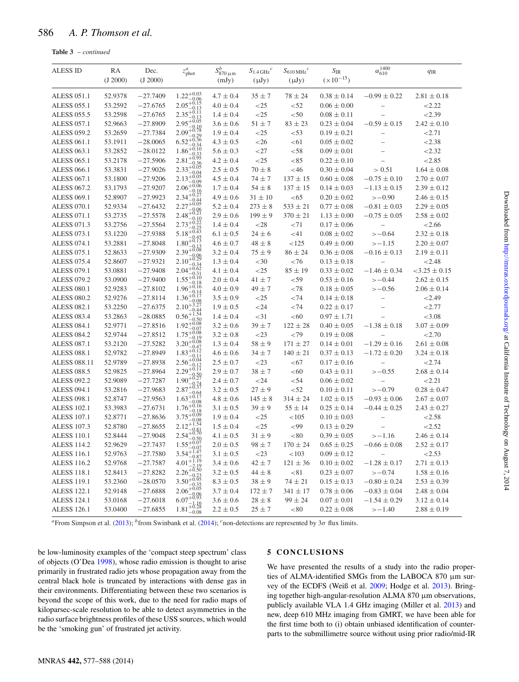<span id="page-9-0"></span>

| Table 3 | – continued |
|---------|-------------|
|---------|-------------|

| <b>ALESS ID</b>     | RA<br>(J 2000) | Dec.<br>(J 2000) | $z_{\text{phot}}^a$                              | $S_{870\,\mu\mathrm{m}}^b$<br>(mJy) | $S_{1.4\,\mathrm{GHz}}{}^{c}$<br>$(\mu Jy)$ | $S_{610 \text{ MHz}}^c$<br>$(\mu Jy)$ | $S_{\rm IR}$<br>$(\times 10^{-15})$ | $\alpha_{610}^{1400}$    | $q_{\rm IR}$     |
|---------------------|----------------|------------------|--------------------------------------------------|-------------------------------------|---------------------------------------------|---------------------------------------|-------------------------------------|--------------------------|------------------|
| <b>ALESS 051.1</b>  | 52.9378        | $-27.7409$       | $1.22^{+0.03}_{-0.06}$<br>$2.05^{+0.15}_{-0.13}$ | $4.7 \pm 0.4$                       | $35 \pm 7$                                  | $78 \pm 24$                           | $0.38 \pm 0.14$                     | $-0.99 \pm 0.22$         | $2.81\pm0.18$    |
| <b>ALESS 055.1</b>  | 53.2592        | $-27.6765$       | -0.13                                            | $4.0 \pm 0.4$                       | <25                                         | < 52                                  | $0.06 \pm 0.00$                     | $\overline{a}$           | < 2.22           |
| <b>ALESS 055.5</b>  | 53.2598        | $-27.6765$       | $2.35_{-0.13}^{+0.11}$                           | $1.4 \pm 0.4$                       | <25                                         | < 50                                  | $0.08 \pm 0.11$                     | $\overline{\phantom{0}}$ | < 2.39           |
| <b>ALESS 057.1</b>  | 52.9663        | $-27.8909$       | $2.95^{+0.05}_{-0.10}$<br>0.10                   | $3.6 \pm 0.6$                       | $51 \pm 7$                                  | $83\pm23$                             | $0.23 \pm 0.04$                     | $-0.59 \pm 0.15$         | $2.42 \pm 0.10$  |
| <b>ALESS 059.2</b>  | 53.2659        | $-27.7384$       | $2.09^{+0.78}_{-0.28}$<br>$-0.29$                | $1.9 \pm 0.4$                       | $<$ 25                                      | < 53                                  | $0.19 \pm 0.21$                     | $\overline{a}$           | 2.71             |
| <b>ALESS 061.1</b>  | 53.1911        | $-28.0065$       | $6.52^{+0.36}_{-0.36}$                           | $4.3 \pm 0.5$                       | $<$ 26                                      | < 61                                  | $0.05 \pm 0.02$                     | $\overline{\phantom{0}}$ | < 2.38           |
| <b>ALESS 063.1</b>  | 53.2852        | $-28.0122$       | $1.86^{+0.10}_{-0.22}$                           | $5.6 \pm 0.3$                       | ${<}27$                                     | < 58                                  | $0.09 \pm 0.01$                     |                          | < 2.32           |
| <b>ALESS 065.1</b>  | 53.2178        | $-27.5906$       | $2.81^{+0.95}_{-0.22}$                           | $4.2 \pm 0.4$                       | <25                                         | < 85                                  | $0.22 \pm 0.10$                     |                          | < 2.85           |
| <b>ALESS 066.1</b>  | 53.3831        | $-27.9026$       | $-0.36$<br>+0.05<br>2.33<br>-0.04                | $2.5 \pm 0.5$                       | $70 \pm 8$                                  | <46                                   | $0.30 \pm 0.04$                     | > 0.51                   | $1.64\pm0.08$    |
| <b>ALESS 067.1</b>  | 53.1800        | $-27.9206$       | $2.13^{+0.05}_{-0.02}$<br>-0.09                  | $4.5 \pm 0.4$                       | $74 + 7$                                    | $137 \pm 15$                          | $0.60 \pm 0.08$                     | $-0.75 \pm 0.10$         | $2.70 \pm 0.07$  |
| <b>ALESS 067.2</b>  | 53.1793        | $-27.9207$       | $2.06^{+0.06}_{-0.16}$                           | $1.7 \pm 0.4$                       | $54 \pm 8$                                  | $137 \pm 15$                          | $0.14 \pm 0.03$                     | $-1.13 \pm 0.15$         | $2.39 \pm 0.12$  |
| <b>ALESS 069.1</b>  | 52.8907        | $-27.9923$       | $2.34^{+0.27}_{-0.16}$                           | $4.9 \pm 0.6$                       | $31 \pm 10$                                 | < 65                                  | $0.20 \pm 0.02$                     | $>-0.90$                 | $2.46 \pm 0.15$  |
| <b>ALESS 070.1</b>  | 52.9334        | $-27.6432$       | $+0.05$<br>2.27<br>$-0.06$                       | $5.2 \pm 0.4$                       | $273 \pm 8$                                 | $533 \pm 21$                          | $0.77 \pm 0.08$                     | $-0.81 \pm 0.03$         | $2.29 \pm 0.05$  |
| <b>ALESS 071.1</b>  | 53.2735        | $-27.5578$       | $2.48^{+0.21}_{-0.19}$                           | $2.9 \pm 0.6$                       | $199 \pm 9$                                 | $370 \pm 21$                          | $1.13 \pm 0.00$                     | $-0.75 \pm 0.05$         | $2.58 \pm 0.02$  |
| <b>ALESS 071.3</b>  | 53.2756        | $-27.5564$       | $2.73^{+0.22}_{-0.72}$                           | $1.4 \pm 0.4$                       | $<$ 28                                      | ${<}71$                               | $0.17 \pm 0.06$                     | $\overline{a}$           | < 2.66           |
| <b>ALESS 073.1</b>  | 53.1220        | $-27.9388$       | $5.18^{+0.25}_{-0.43}$                           | $6.1 \pm 0.5$                       | $24 \pm 6$                                  | < 41                                  | $0.08 \pm 0.02$                     | $>-0.64$                 | $2.32 \pm 0.18$  |
| <b>ALESS 074.1</b>  | 53.2881        | $-27.8048$       | $-0.45$<br>1.80 <sup>+0.13</sup>                 | $4.6 \pm 0.7$                       | $48\pm8$                                    | < 125                                 | $0.49 \pm 0.00$                     | $>-1.15$                 | $2.20 \pm 0.07$  |
| <b>ALESS 075.1</b>  | 52.8633        | $-27.9309$       | $2.39^{+0.08}_{-0.06}$                           | $3.2 \pm 0.4$                       | $75 \pm 9$                                  | $86 \pm 24$                           | $0.36 \pm 0.08$                     | $-0.16 \pm 0.13$         | $2.19\pm0.11$    |
| <b>ALESS 075.4</b>  | 52.8607        | $-27.9321$       | $2.10^{+0.06}_{-0.29}$                           | $1.3 \pm 0.4$                       | $<$ 30                                      | ${<}76$                               | $0.13 \pm 0.18$                     | $\overline{\phantom{0}}$ | < 2.48           |
| <b>ALESS 079.1</b>  | 53.0881        | $-27.9408$       | $2.04^{+0.62}_{-0.02}$                           | $4.1 \pm 0.4$                       | $<$ 25                                      | $85 \pm 19$                           | $0.33 \pm 0.02$                     | $-1.46 \pm 0.34$         | $-3.25 \pm 0.15$ |
| <b>ALESS 079.2</b>  | 53.0900        | $-27.9400$       | $1.55^{+0.10}_{-0.18}$                           | $2.0 \pm 0.4$                       | $41 \pm 7$                                  | $<$ 59                                | $0.53 \pm 0.16$                     | $>-0.44$                 | $2.62 \pm 0.15$  |
| <b>ALESS 080.1</b>  | 52.9283        | $-27.8102$       | $1.96^{+0.16}_{-0.14}$                           | $4.0 \pm 0.9$                       | $49 \pm 7$                                  | ${<}78$                               | $0.18 \pm 0.05$                     | $>-0.56$                 | $2.06 \pm 0.14$  |
| <b>ALESS 080.2</b>  | 52.9276        | $-27.8114$       | $1.36^{+0.14}_{-0.7}$                            | $3.5 \pm 0.9$                       | $<$ 25                                      | < 74                                  | $0.14 \pm 0.18$                     | $\overline{\phantom{0}}$ | < 2.49           |
| <b>ALESS 082.1</b>  | 53.2250        | $-27.6375$       | $2.10^{+}$<br>-0.44                              | $1.9 \pm 0.5$                       | $<$ 24                                      | < 74                                  | $0.22 \pm 0.17$                     | $\overline{\phantom{0}}$ | < 2.77           |
| <b>ALESS 083.4</b>  | 53.2863        | $-28.0885$       | $0.56^{+1.54}_{-0.52}$                           | $1.4 \pm 0.4$                       | $<$ 31                                      | < 60                                  | $0.97 \pm 1.71$                     |                          | < 3.08           |
| <b>ALESS 084.1</b>  | 52.9771        | $-27.8516$       | $1.92^{+0.08}_{-0.07}$<br>$-0.07$                | $3.2 \pm 0.6$                       | $39 \pm 7$                                  | $122 \pm 28$                          | $0.40 \pm 0.05$                     | $-1.38 \pm 0.18$         | $3.07 \pm 0.09$  |
| <b>ALESS 084.2</b>  | 52.9744        | $-27.8512$       | $1.75^{+0.08}_{-0.10}$                           | $3.2 \pm 0.8$                       | $<$ 23                                      | ${<}79$                               | $0.19 \pm 0.08$                     |                          | < 2.70           |
| <b>ALESS 087.1</b>  | 53.2120        | $-27.5282$       | $3.20^{+0.08}_{-0.02}$<br>$-0.47$                | $1.3 \pm 0.4$                       | $58 \pm 9$                                  | $171 \pm 27$                          | $0.14 \pm 0.01$                     | $-1.29 \pm 0.16$         | $2.61 \pm 0.08$  |
| <b>ALESS 088.1</b>  | 52.9782        | $-27.8949$       | $1.83^{+0.12}_{-0.12}$                           | $4.6 \pm 0.6$                       | $34 \pm 7$                                  | $140 \pm 21$                          | $0.37 \pm 0.13$                     | $-1.72 \pm 0.20$         | $3.24 \pm 0.18$  |
| <b>ALESS 088.11</b> | 52.9789        | $-27.8938$       | $2.56^{+0.04}_{-0.02}$<br>$2.29^{+0.12}_{-0.11}$ | $2.5 \pm 0.7$                       | $<$ 23                                      | < 67                                  | $0.17 \pm 0.16$                     |                          | < 2.74           |
| <b>ALESS 088.5</b>  | 52.9825        | $-27.8964$       | $1.90^{+0.50}_{-0.27}$                           | $2.9 \pm 0.7$                       | $38 \pm 7$                                  | < 60                                  | $0.43 \pm 0.11$                     | $>-0.55$                 | $2.68 \pm 0.14$  |
| <b>ALESS 092.2</b>  | 52.9089        | $-27.7287$       | $2.87_{-0.37}^{+0.74}$                           | $2.4 \pm 0.7$                       | $<$ 24                                      | < 54                                  | $0.06 \pm 0.02$                     |                          | 2.21             |
| <b>ALESS 094.1</b>  | 53.2816        | $-27.9683$       | $-0.64$<br>1.63 $+0.17$                          | $3.2 \pm 0.5$                       | $27 \pm 9$                                  | < 52                                  | $0.10 \pm 0.11$                     | $>-0.79$                 | $0.28 \pm 0.47$  |
| <b>ALESS 098.1</b>  | 52.8747        | $-27.9563$       |                                                  | $4.8 \pm 0.6$                       | $145 \pm 8$                                 | $314 \pm 24$                          | $1.02 \pm 0.15$                     | $-0.93 \pm 0.06$         | $2.67 \pm 0.07$  |
| <b>ALESS 102.1</b>  | 53.3983        | $-27.6731$       | $1.76^{+0.16}_{-0.16}$<br>$3.75^{+0.09}_{-0.75}$ | $3.1 \pm 0.5$                       | $39 \pm 9$                                  | $55 \pm 14$                           | $0.25 \pm 0.14$                     | $-0.44 \pm 0.25$         | $2.43 \pm 0.27$  |
| <b>ALESS 107.1</b>  | 52.8771        | $-27.8636$       |                                                  | $1.9 \pm 0.4$                       | <25                                         | <105                                  | $0.10 \pm 0.03$                     | $\overline{\phantom{0}}$ | < 2.58           |
| <b>ALESS 107.3</b>  | 52.8780        | $-27.8655$       | $2.12^{+1}$<br>$2.54^{+0.70}_{-0.70}$            | $1.5 \pm 0.4$                       | <25                                         | ${<}99$                               | $0.13 \pm 0.29$                     | $\qquad \qquad -$        | < 2.52           |
| <b>ALESS 110.1</b>  | 52.8444        | $-27.9048$       | $1.55^{+0.50}_{-0.07}$                           | $4.1 \pm 0.5$                       | $31 \pm 9$                                  | < 80                                  | $0.39 \pm 0.05$                     | $>-1.16$                 | $2.46 \pm 0.14$  |
| <b>ALESS 114.2</b>  | 52.9629        | $-27.7437$       | .47                                              | $2.0 \pm 0.5$                       | $98 \pm 7$                                  | $170 \pm 24$                          | $0.65 \pm 0.25$                     | $-0.66 \pm 0.08$         | $2.52 \pm 0.17$  |
| <b>ALESS 116.1</b>  | 52.9763        | $-27.7580$       | $3.54^{+1.0}$<br>Ĩ9                              | $3.1 \pm 0.5$                       | $<$ 23                                      | < 103                                 | $0.09 \pm 0.12$                     | $\overline{\phantom{0}}$ | < 2.53           |
| <b>ALESS 116.2</b>  | 52.9768        | $-27.7587$       | 4.01<br>2.19                                     | $3.4 \pm 0.6$                       | $42 \pm 7$                                  | $121 \pm 36$                          | $0.10 \pm 0.02$                     | $-1.28 \pm 0.17$         | $2.71 \pm 0.13$  |
| <b>ALESS 118.1</b>  | 52.8413        | $-27.8282$       | $2.26^{+0.50}_{-0.22}$                           | $3.2 \pm 0.5$                       | $44 \pm 8$                                  | < 81                                  | $0.23 \pm 0.07$                     | $>-0.74$                 | $1.58 \pm 0.16$  |
| <b>ALESS 119.1</b>  | 53.2360        | $-28.0570$       | $3.50^{+0.95}_{-0.25}$<br>$2.06^{+0.05}_{-0.05}$ | $8.3 \pm 0.5$                       | $38 \pm 9$                                  | $74 \pm 21$                           | $0.15 \pm 0.13$                     | $-0.80 \pm 0.24$         | $2.53 \pm 0.39$  |
| <b>ALESS 122.1</b>  | 52.9148        | $-27.6888$       |                                                  | $3.7 \pm 0.4$                       | $172 \pm 7$                                 | $341 \pm 17$                          | $0.78 \pm 0.06$                     | $-0.83 \pm 0.04$         | $2.48 \pm 0.04$  |
| <b>ALESS 124.1</b>  | 53.0168        | $-27.6018$       | $6.07_{+0.93}^{-0.06}$                           | $3.6 \pm 0.6$                       | $28 \pm 8$                                  | $99 \pm 24$                           | $0.07 \pm 0.01$                     | $-1.54 \pm 0.29$         | $3.12 \pm 0.14$  |
| <b>ALESS 126.1</b>  | 53.0400        | $-27.6855$       | $0.07 - 1.16$<br>$1.81 + 0.28$<br>$-0.08$        | $2.2 \pm 0.5$                       | $25 \pm 7$                                  | < 80                                  | $0.22 \pm 0.08$                     | $>-1.40$                 | $2.88 \pm 0.19$  |

*a*From Simpson et al. [\(2013\)](#page-10-33); *b*from Swinbank et al. [\(2014\)](#page-10-4); <sup>*c*</sup>non-detections are represented by 3σ flux limits.

be low-luminosity examples of the 'compact steep spectrum' class of objects (O'Dea [1998\)](#page-10-53), whose radio emission is thought to arise primarily in frustrated radio jets whose propagation away from the central black hole is truncated by interactions with dense gas in their environments. Differentiating between these two scenarios is beyond the scope of this work, due to the need for radio maps of kiloparsec-scale resolution to be able to detect asymmetries in the radio surface brightness profiles of these USS sources, which would be the 'smoking gun' of frustrated jet activity.

#### **5 CONCLUSIONS**

We have presented the results of a study into the radio properties of ALMA-identified SMGs from the LABOCA 870 µm survey of the ECDFS (Weiß et al. [2009;](#page-11-1) Hodge et al. [2013\)](#page-10-25). Bringing together high-angular-resolution ALMA 870 µm observations, publicly available VLA 1.4 GHz imaging (Miller et al. [2013\)](#page-10-30) and new, deep 610 MHz imaging from GMRT, we have been able for the first time both to (i) obtain unbiased identification of counterparts to the submillimetre source without using prior radio/mid-IR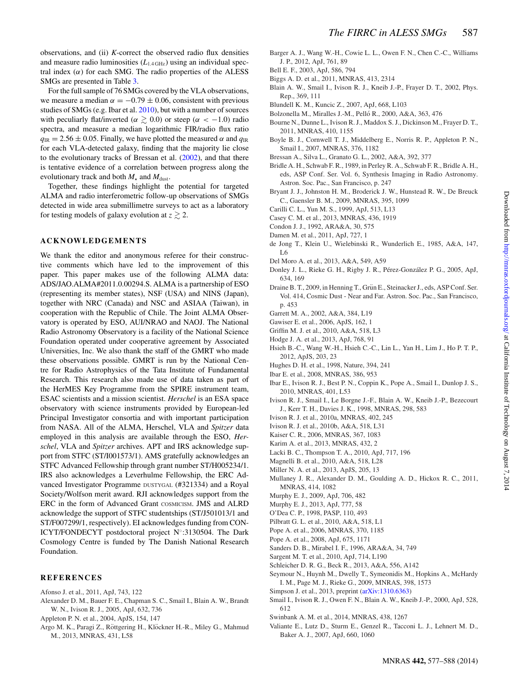observations, and (ii) *K*-correct the observed radio flux densities and measure radio luminosities  $(L_{1.4 \text{ GHz}})$  using an individual spectral index  $(\alpha)$  for each SMG. The radio properties of the ALESS SMGs are presented in Table [3.](#page-8-1)

For the full sample of 76 SMGs covered by the VLA observations, we measure a median  $\alpha = -0.79 \pm 0.06$ , consistent with previous studies of SMGs (e.g. Ibar et al. [2010\)](#page-10-26), but with a number of sources with peculiarly flat/inverted ( $\alpha \gtrsim 0.0$ ) or steep ( $\alpha < -1.0$ ) radio spectra, and measure a median logarithmic FIR/radio flux ratio  $q_{\text{IR}} = 2.56 \pm 0.05$ . Finally, we have plotted the measured  $\alpha$  and  $q_{\text{IR}}$ for each VLA-detected galaxy, finding that the majority lie close to the evolutionary tracks of Bressan et al. [\(2002\)](#page-10-11), and that there is tentative evidence of a correlation between progress along the evolutionary track and both  $M_{\star}$  and  $M_{\text{dust}}$ .

Together, these findings highlight the potential for targeted ALMA and radio interferometric follow-up observations of SMGs detected in wide area submillimetre surveys to act as a laboratory for testing models of galaxy evolution at  $z \gtrsim 2$ .

# **ACKNOWLEDGEMENTS**

We thank the editor and anonymous referee for their constructive comments which have led to the improvement of this paper. This paper makes use of the following ALMA data: ADS/JAO.ALMA#2011.0.00294.S. ALMA is a partnership of ESO (representing its member states), NSF (USA) and NINS (Japan), together with NRC (Canada) and NSC and ASIAA (Taiwan), in cooperation with the Republic of Chile. The Joint ALMA Observatory is operated by ESO, AUI/NRAO and NAOJ. The National Radio Astronomy Observatory is a facility of the National Science Foundation operated under cooperative agreement by Associated Universities, Inc. We also thank the staff of the GMRT who made these observations possible. GMRT is run by the National Centre for Radio Astrophysics of the Tata Institute of Fundamental Research. This research also made use of data taken as part of the HerMES Key Programme from the SPIRE instrument team, ESAC scientists and a mission scientist. *Herschel* is an ESA space observatory with science instruments provided by European-led Principal Investigator consortia and with important participation from NASA. All of the ALMA, Herschel, VLA and *Spitzer* data employed in this analysis are available through the ESO, *Herschel*, VLA and *Spitzer* archives. APT and IRS acknowledge support from STFC (ST/I001573/1). AMS gratefully acknowledges an STFC Advanced Fellowship through grant number ST/H005234/1. IRS also acknowledges a Leverhulme Fellowship, the ERC Advanced Investigator Programme DUSTYGAL (#321334) and a Royal Society/Wolfson merit award. RJI acknowledges support from the ERC in the form of Advanced Grant COSMICISM. JMS and ALRD acknowledge the support of STFC studentships (ST/J501013/1 and ST/F007299/1, respectively). EI acknowledges funding from CON-ICYT/FONDECYT postdoctoral project N◦:3130504. The Dark Cosmology Centre is funded by The Danish National Research Foundation.

#### **REFERENCES**

- <span id="page-10-42"></span>Afonso J. et al., 2011, ApJ, 743, 122
- <span id="page-10-47"></span>Alexander D. M., Bauer F. E., Chapman S. C., Smail I., Blain A. W., Brandt W. N., Ivison R. J., 2005, ApJ, 632, 736
- <span id="page-10-8"></span>Appleton P. N. et al., 2004, ApJS, 154, 147
- <span id="page-10-44"></span>Argo M. K., Paragi Z., Röttgering H., Klöckner H.-R., Miley G., Mahmud M., 2013, MNRAS, 431, L58

<span id="page-10-21"></span>Barger A. J., Wang W.-H., Cowie L. L., Owen F. N., Chen C.-C., Williams J. P., 2012, ApJ, 761, 89

<span id="page-10-40"></span>Bell E. F., 2003, ApJ, 586, 794

- <span id="page-10-31"></span>Biggs A. D. et al., 2011, MNRAS, 413, 2314
- <span id="page-10-0"></span>Blain A. W., Smail I., Ivison R. J., Kneib J.-P., Frayer D. T., 2002, Phys. Rep., 369, 111
- <span id="page-10-52"></span>Blundell K. M., Kuncic Z., 2007, ApJ, 668, L103
- <span id="page-10-37"></span>Bolzonella M., Miralles J.-M., Pelló R., 2000, A&A, 363, 476
- <span id="page-10-20"></span>Bourne N., Dunne L., Ivison R. J., Maddox S. J., Dickinson M., Frayer D. T., 2011, MNRAS, 410, 1155
- <span id="page-10-16"></span>Boyle B. J., Cornwell T. J., Middelberg E., Norris R. P., Appleton P. N., Smail I., 2007, MNRAS, 376, 1182
- <span id="page-10-11"></span>Bressan A., Silva L., Granato G. L., 2002, A&A, 392, 377
- <span id="page-10-32"></span>Bridle A. H., Schwab F. R., 1989, in Perley R. A., Schwab F. R., Bridle A. H., eds, ASP Conf. Ser. Vol. 6, Synthesis Imaging in Radio Astronomy. Astron. Soc. Pac., San Francisco, p. 247
- <span id="page-10-43"></span>Bryant J. J., Johnston H. M., Broderick J. W., Hunstead R. W., De Breuck C., Gaensler B. M., 2009, MNRAS, 395, 1099
- <span id="page-10-14"></span>Carilli C. L., Yun M. S., 1999, ApJ, 513, L13
- <span id="page-10-1"></span>Casey C. M. et al., 2013, MNRAS, 436, 1919
- <span id="page-10-10"></span>Condon J. J., 1992, ARA&A, 30, 575
- <span id="page-10-36"></span>Damen M. et al., 2011, ApJ, 727, 1
- <span id="page-10-7"></span>de Jong T., Klein U., Wielebinski R., Wunderlich E., 1985, A&A, 147, L6
- <span id="page-10-13"></span>Del Moro A. et al., 2013, A&A, 549, A59
- <span id="page-10-12"></span>Donley J. L., Rieke G. H., Rigby J. R., Pérez-González P. G., 2005, ApJ, 634, 169
- <span id="page-10-46"></span>Draine B. T., 2009, in Henning T., Grün E., Steinacker J., eds, ASP Conf. Ser. Vol. 414, Cosmic Dust - Near and Far. Astron. Soc. Pac., San Francisco, p. 453
- <span id="page-10-15"></span>Garrett M. A., 2002, A&A, 384, L19
- <span id="page-10-34"></span>Gawiser E. et al., 2006, ApJS, 162, 1
- <span id="page-10-38"></span>Griffin M. J. et al., 2010, A&A, 518, L3
- <span id="page-10-25"></span>Hodge J. A. et al., 2013, ApJ, 768, 91
- <span id="page-10-35"></span>Hsieh B.-C., Wang W.-H., Hsieh C.-C., Lin L., Yan H., Lim J., Ho P. T. P., 2012, ApJS, 203, 23
- <span id="page-10-3"></span>Hughes D. H. et al., 1998, Nature, 394, 241
- <span id="page-10-17"></span>Ibar E. et al., 2008, MNRAS, 386, 953
- <span id="page-10-26"></span>Ibar E., Ivison R. J., Best P. N., Coppin K., Pope A., Smail I., Dunlop J. S., 2010, MNRAS, 401, L53
- <span id="page-10-5"></span>Ivison R. J., Smail I., Le Borgne J.-F., Blain A. W., Kneib J.-P., Bezecourt J., Kerr T. H., Davies J. K., 1998, MNRAS, 298, 583
- <span id="page-10-23"></span>Ivison R. J. et al., 2010a, MNRAS, 402, 245
- <span id="page-10-24"></span>Ivison R. J. et al., 2010b, A&A, 518, L31
- <span id="page-10-28"></span>Kaiser C. R., 2006, MNRAS, 367, 1083
- <span id="page-10-29"></span>Karim A. et al., 2013, MNRAS, 432, 2
- <span id="page-10-9"></span>Lacki B. C., Thompson T. A., 2010, ApJ, 717, 196
- <span id="page-10-41"></span>Magnelli B. et al., 2010, A&A, 518, L28
- <span id="page-10-30"></span>Miller N. A. et al., 2013, ApJS, 205, 13
- <span id="page-10-51"></span>Mullaney J. R., Alexander D. M., Goulding A. D., Hickox R. C., 2011, MNRAS, 414, 1082
- <span id="page-10-45"></span>Murphy E. J., 2009, ApJ, 706, 482
- <span id="page-10-27"></span>Murphy E. J., 2013, ApJ, 777, 58
- <span id="page-10-53"></span>O'Dea C. P., 1998, PASP, 110, 493
- <span id="page-10-39"></span>Pilbratt G. L. et al., 2010, A&A, 518, L1
- <span id="page-10-48"></span>Pope A. et al., 2006, MNRAS, 370, 1185
- <span id="page-10-50"></span>Pope A. et al., 2008, ApJ, 675, 1171
- <span id="page-10-2"></span>Sanders D. B., Mirabel I. F., 1996, ARA&A, 34, 749
- <span id="page-10-19"></span>Sargent M. T. et al., 2010, ApJ, 714, L190
- <span id="page-10-22"></span>Schleicher D. R. G., Beck R., 2013, A&A, 556, A142
- <span id="page-10-18"></span>Seymour N., Huynh M., Dwelly T., Symeonidis M., Hopkins A., McHardy I. M., Page M. J., Rieke G., 2009, MNRAS, 398, 1573
- <span id="page-10-33"></span>Simpson J. et al., 2013, preprint [\(arXiv:1310.6363\)](http://arxiv.org/abs/1310.6363)
- <span id="page-10-6"></span>Smail I., Ivison R. J., Owen F. N., Blain A. W., Kneib J.-P., 2000, ApJ, 528, 612
- <span id="page-10-4"></span>Swinbank A. M. et al., 2014, MNRAS, 438, 1267
- <span id="page-10-49"></span>Valiante E., Lutz D., Sturm E., Genzel R., Tacconi L. J., Lehnert M. D., Baker A. J., 2007, ApJ, 660, 1060